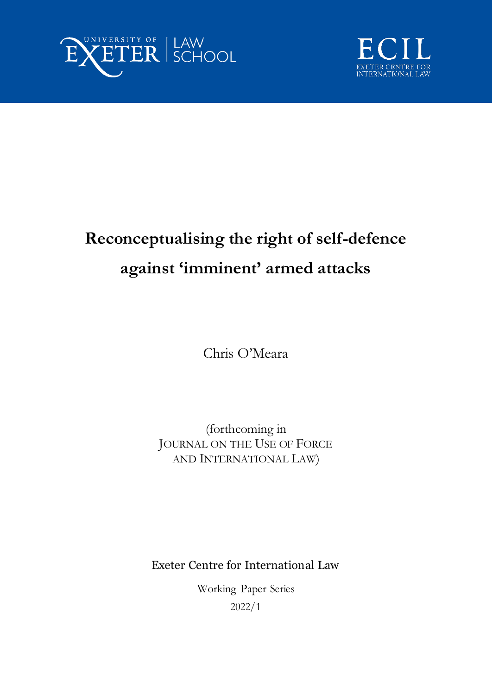



# **Reconceptualising the right of self-defence against 'imminent' armed attacks**

Chris O'Meara

(forthcoming in JOURNAL ON THE USE OF FORCE AND INTERNATIONAL LAW)

Exeter Centre for International Law

Working Paper Series 2022/1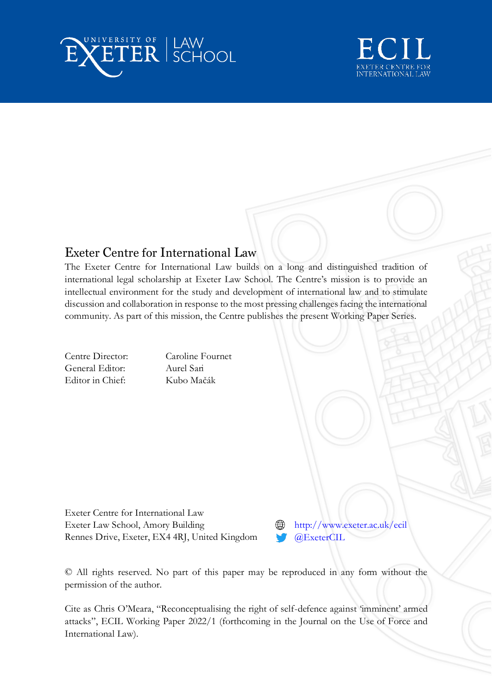



# Exeter Centre for International Law

The Exeter Centre for International Law builds on a long and distinguished tradition of international legal scholarship at Exeter Law School. The Centre's mission is to provide an intellectual environment for the study and development of international law and to stimulate discussion and collaboration in response to the most pressing challenges facing the international community. As part of this mission, the Centre publishes the present Working Paper Series.

General Editor: Aurel Sari Editor in Chief: Kubo Mačák

Centre Director: Caroline Fournet

Exeter Centre for International Law Exeter Law School, Amory Building Rennes Drive, Exeter, EX4 4RJ, United Kingdom

<http://www.exeter.ac.uk/ecil> [@ExeterCIL](https://twitter.com/ExeterCIL)

© All rights reserved. No part of this paper may be reproduced in any form without the permission of the author.

Cite as Chris O'Meara, "Reconceptualising the right of self-defence against 'imminent' armed attacks", ECIL Working Paper 2022/1 (forthcoming in the Journal on the Use of Force and International Law).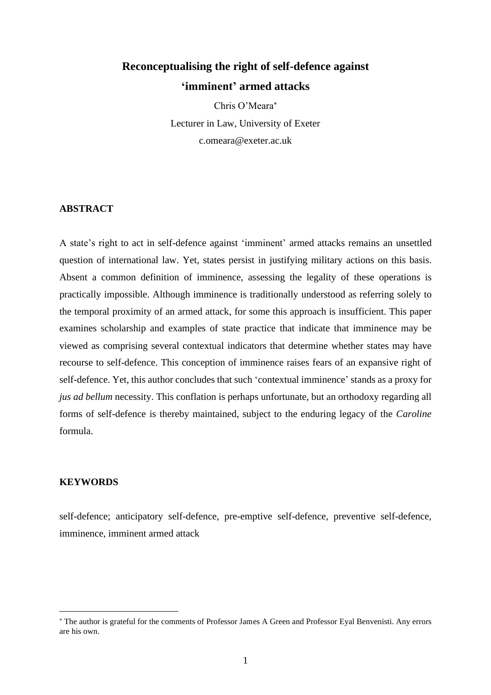# **Reconceptualising the right of self-defence against 'imminent' armed attacks**

Chris O'Meara Lecturer in Law, University of Exeter c.omeara@exeter.ac.uk

# **ABSTRACT**

A state's right to act in self-defence against 'imminent' armed attacks remains an unsettled question of international law. Yet, states persist in justifying military actions on this basis. Absent a common definition of imminence, assessing the legality of these operations is practically impossible. Although imminence is traditionally understood as referring solely to the temporal proximity of an armed attack, for some this approach is insufficient. This paper examines scholarship and examples of state practice that indicate that imminence may be viewed as comprising several contextual indicators that determine whether states may have recourse to self-defence. This conception of imminence raises fears of an expansive right of self-defence. Yet, this author concludes that such 'contextual imminence' stands as a proxy for *jus ad bellum* necessity. This conflation is perhaps unfortunate, but an orthodoxy regarding all forms of self-defence is thereby maintained, subject to the enduring legacy of the *Caroline* formula.

#### **KEYWORDS**

self-defence; anticipatory self-defence, pre-emptive self-defence, preventive self-defence, imminence, imminent armed attack

The author is grateful for the comments of Professor James A Green and Professor Eyal Benvenisti. Any errors are his own.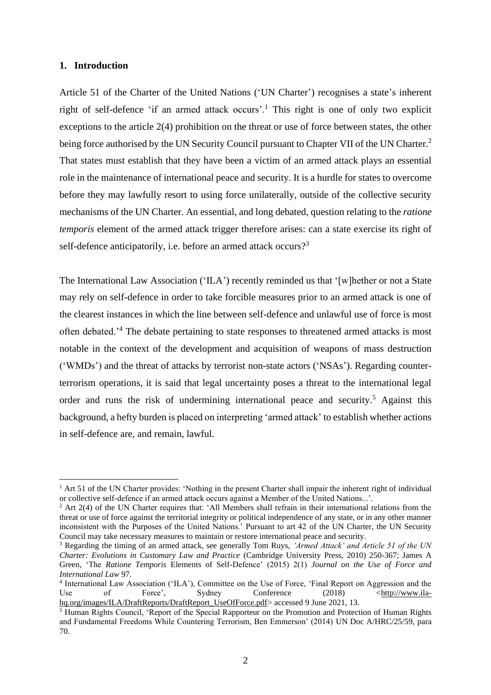# **1. Introduction**

Article 51 of the Charter of the United Nations ('UN Charter') recognises a state's inherent right of self-defence 'if an armed attack occurs'.<sup>1</sup> This right is one of only two explicit exceptions to the article 2(4) prohibition on the threat or use of force between states, the other being force authorised by the UN Security Council pursuant to Chapter VII of the UN Charter.<sup>2</sup> That states must establish that they have been a victim of an armed attack plays an essential role in the maintenance of international peace and security. It is a hurdle for states to overcome before they may lawfully resort to using force unilaterally, outside of the collective security mechanisms of the UN Charter. An essential, and long debated, question relating to the *ratione temporis* element of the armed attack trigger therefore arises: can a state exercise its right of self-defence anticipatorily, i.e. before an armed attack occurs?<sup>3</sup>

The International Law Association ('ILA') recently reminded us that '[w]hether or not a State may rely on self-defence in order to take forcible measures prior to an armed attack is one of the clearest instances in which the line between self-defence and unlawful use of force is most often debated.'<sup>4</sup> The debate pertaining to state responses to threatened armed attacks is most notable in the context of the development and acquisition of weapons of mass destruction ('WMDs') and the threat of attacks by terrorist non-state actors ('NSAs'). Regarding counterterrorism operations, it is said that legal uncertainty poses a threat to the international legal order and runs the risk of undermining international peace and security.<sup>5</sup> Against this background, a hefty burden is placed on interpreting 'armed attack' to establish whether actions in self-defence are, and remain, lawful.

<sup>&</sup>lt;sup>1</sup> Art 51 of the UN Charter provides: 'Nothing in the present Charter shall impair the inherent right of individual or collective self-defence if an armed attack occurs against a Member of the United Nations...'.

<sup>&</sup>lt;sup>2</sup> Art 2(4) of the UN Charter requires that: 'All Members shall refrain in their international relations from the threat or use of force against the territorial integrity or political independence of any state, or in any other manner inconsistent with the Purposes of the United Nations.' Pursuant to art 42 of the UN Charter, the UN Security Council may take necessary measures to maintain or restore international peace and security.

<sup>3</sup> Regarding the timing of an armed attack, see generally Tom Ruys, *'Armed Attack' and Article 51 of the UN Charter: Evolutions in Customary Law and Practice* (Cambridge University Press, 2010) 250-367; James A Green, 'The *Ratione Temporis* Elements of Self-Defence' (2015) 2(1) *Journal on the Use of Force and International Law* 97.

<sup>4</sup> International Law Association ('ILA'), Committee on the Use of Force, 'Final Report on Aggression and the Use of Force', Sydney Conference (2018) [<http://www.ila](http://www.ila-hq.org/images/ILA/DraftReports/DraftReport_UseOfForce.pdf)[hq.org/images/ILA/DraftReports/DraftReport\\_UseOfForce.pdf>](http://www.ila-hq.org/images/ILA/DraftReports/DraftReport_UseOfForce.pdf) accessed 9 June 2021, 13.

<sup>5</sup> Human Rights Council, 'Report of the Special Rapporteur on the Promotion and Protection of Human Rights and Fundamental Freedoms While Countering Terrorism, Ben Emmerson' (2014) UN Doc A/HRC/25/59, para 70.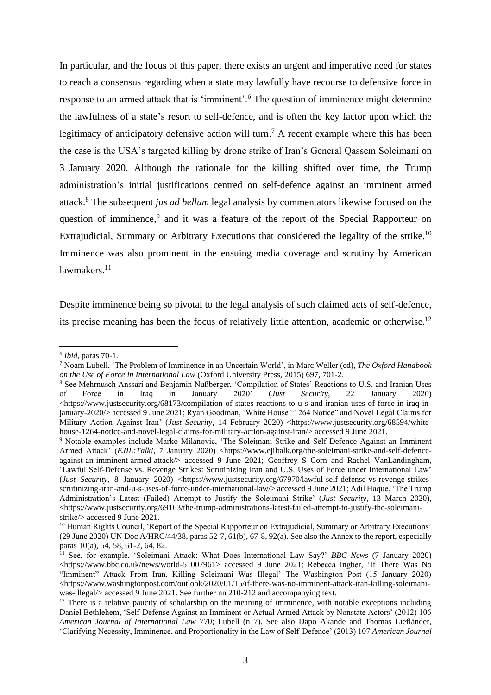In particular, and the focus of this paper, there exists an urgent and imperative need for states to reach a consensus regarding when a state may lawfully have recourse to defensive force in response to an armed attack that is 'imminent'.<sup>6</sup> The question of imminence might determine the lawfulness of a state's resort to self-defence, and is often the key factor upon which the legitimacy of anticipatory defensive action will turn.<sup>7</sup> A recent example where this has been the case is the USA's targeted killing by drone strike of Iran's General Qassem Soleimani on 3 January 2020. Although the rationale for the killing shifted over time, the Trump administration's initial justifications centred on self-defence against an imminent armed attack.<sup>8</sup> The subsequent *jus ad bellum* legal analysis by commentators likewise focused on the question of imminence,<sup>9</sup> and it was a feature of the report of the Special Rapporteur on Extrajudicial, Summary or Arbitrary Executions that considered the legality of the strike.<sup>10</sup> Imminence was also prominent in the ensuing media coverage and scrutiny by American lawmakers.<sup>11</sup>

Despite imminence being so pivotal to the legal analysis of such claimed acts of self-defence, its precise meaning has been the focus of relatively little attention, academic or otherwise.<sup>12</sup>

<sup>6</sup> *Ibid*, paras 70-1.

<sup>7</sup> Noam Lubell, 'The Problem of Imminence in an Uncertain World', in Marc Weller (ed), *The Oxford Handbook on the Use of Force in International Law* (Oxford University Press, 2015) 697, 701-2.

<sup>8</sup> See Mehrnusch Anssari and Benjamin Nußberger, 'Compilation of States' Reactions to U.S. and Iranian Uses of Force in Iraq in January 2020' (*Just Security*, 22 January 2020)  $\langle$ https://www.justsecurity.org/68173/compilation-of-states-reactions-to-u-s-and-iranian-uses-of-force-in-iraq-in[january-2020/>](https://www.justsecurity.org/68173/compilation-of-states-reactions-to-u-s-and-iranian-uses-of-force-in-iraq-in-january-2020/) accessed 9 June 2021; Ryan Goodman, 'White House "1264 Notice" and Novel Legal Claims for Military Action Against Iran' (*Just Security*, 14 February 2020) [<https://www.justsecurity.org/68594/white](https://www.justsecurity.org/68594/white-house-1264-notice-and-novel-legal-claims-for-military-action-against-iran/)[house-1264-notice-and-novel-legal-claims-for-military-action-against-iran/>](https://www.justsecurity.org/68594/white-house-1264-notice-and-novel-legal-claims-for-military-action-against-iran/) accessed 9 June 2021.

<sup>&</sup>lt;sup>9</sup> Notable examples include Marko Milanovic, 'The Soleimani Strike and Self-Defence Against an Imminent Armed Attack<sup>'</sup> (*EJIL:Talk!*, 7 January 2020) [<https://www.ejiltalk.org/the-soleimani-strike-and-self-defence](https://www.ejiltalk.org/the-soleimani-strike-and-self-defence-against-an-imminent-armed-attack/)[against-an-imminent-armed-attack/>](https://www.ejiltalk.org/the-soleimani-strike-and-self-defence-against-an-imminent-armed-attack/) accessed 9 June 2021; Geoffrey S Corn and Rachel VanLandingham, 'Lawful Self-Defense vs. Revenge Strikes: Scrutinizing Iran and U.S. Uses of Force under International Law' (*Just Security*, 8 January 2020) [<https://www.justsecurity.org/67970/lawful-self-defense-vs-revenge-strikes](https://www.justsecurity.org/67970/lawful-self-defense-vs-revenge-strikes-scrutinizing-iran-and-u-s-uses-of-force-under-international-law/)[scrutinizing-iran-and-u-s-uses-of-force-under-international-law/>](https://www.justsecurity.org/67970/lawful-self-defense-vs-revenge-strikes-scrutinizing-iran-and-u-s-uses-of-force-under-international-law/) accessed 9 June 2021; Adil Haque, 'The Trump Administration's Latest (Failed) Attempt to Justify the Soleimani Strike' (*Just Security*, 13 March 2020), [<https://www.justsecurity.org/69163/the-trump-administrations-latest-failed-attempt-to-justify-the-soleimani](https://www.justsecurity.org/69163/the-trump-administrations-latest-failed-attempt-to-justify-the-soleimani-strike/)[strike/>](https://www.justsecurity.org/69163/the-trump-administrations-latest-failed-attempt-to-justify-the-soleimani-strike/) accessed 9 June 2021.

<sup>&</sup>lt;sup>10</sup> Human Rights Council, 'Report of the Special Rapporteur on Extrajudicial, Summary or Arbitrary Executions' (29 June 2020) UN Doc A/HRC/44/38, paras 52-7, 61(b), 67-8, 92(a). See also the Annex to the report, especially paras 10(a), 54, 58, 61-2, 64, 82.

<sup>11</sup> See, for example, 'Soleimani Attack: What Does International Law Say?' *BBC News* (7 January 2020) [<https://www.bbc.co.uk/news/world-51007961>](https://www.bbc.co.uk/news/world-51007961) accessed 9 June 2021; Rebecca Ingber, 'If There Was No "Imminent" Attack From Iran, Killing Soleimani Was Illegal' The Washington Post (15 January 2020) [<https://www.washingtonpost.com/outlook/2020/01/15/if-there-was-no-imminent-attack-iran-killing-soleimani](https://www.washingtonpost.com/outlook/2020/01/15/if-there-was-no-imminent-attack-iran-killing-soleimani-was-illegal/)[was-illegal/>](https://www.washingtonpost.com/outlook/2020/01/15/if-there-was-no-imminent-attack-iran-killing-soleimani-was-illegal/) accessed 9 June 2021. See further nn 210-212 and accompanying text.

 $\frac{12}{12}$  There is a relative paucity of scholarship on the meaning of imminence, with notable exceptions including Daniel Bethlehem, 'Self-Defense Against an Imminent or Actual Armed Attack by Nonstate Actors' (2012) 106 *American Journal of International Law* 770; Lubell (n 7). See also Dapo Akande and Thomas Liefländer, 'Clarifying Necessity, Imminence, and Proportionality in the Law of Self-Defence' (2013) 107 *American Journal*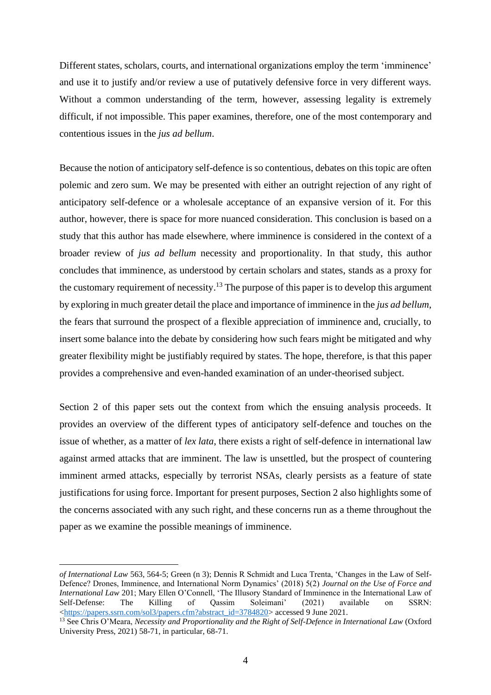Different states, scholars, courts, and international organizations employ the term 'imminence' and use it to justify and/or review a use of putatively defensive force in very different ways. Without a common understanding of the term, however, assessing legality is extremely difficult, if not impossible. This paper examines, therefore, one of the most contemporary and contentious issues in the *jus ad bellum*.

Because the notion of anticipatory self-defence is so contentious, debates on this topic are often polemic and zero sum. We may be presented with either an outright rejection of any right of anticipatory self-defence or a wholesale acceptance of an expansive version of it. For this author, however, there is space for more nuanced consideration. This conclusion is based on a study that this author has made elsewhere, where imminence is considered in the context of a broader review of *jus ad bellum* necessity and proportionality. In that study, this author concludes that imminence, as understood by certain scholars and states, stands as a proxy for the customary requirement of necessity.<sup>13</sup> The purpose of this paper is to develop this argument by exploring in much greater detail the place and importance of imminence in the *jus ad bellum*, the fears that surround the prospect of a flexible appreciation of imminence and, crucially, to insert some balance into the debate by considering how such fears might be mitigated and why greater flexibility might be justifiably required by states. The hope, therefore, is that this paper provides a comprehensive and even-handed examination of an under-theorised subject.

Section 2 of this paper sets out the context from which the ensuing analysis proceeds. It provides an overview of the different types of anticipatory self-defence and touches on the issue of whether, as a matter of *lex lata*, there exists a right of self-defence in international law against armed attacks that are imminent. The law is unsettled, but the prospect of countering imminent armed attacks, especially by terrorist NSAs, clearly persists as a feature of state justifications for using force. Important for present purposes, Section 2 also highlights some of the concerns associated with any such right, and these concerns run as a theme throughout the paper as we examine the possible meanings of imminence.

*of International Law* 563, 564-5; Green (n 3); Dennis R Schmidt and Luca Trenta, 'Changes in the Law of Self-Defence? Drones, Imminence, and International Norm Dynamics' (2018) 5(2) *Journal on the Use of Force and International Law* 201; Mary Ellen O'Connell, 'The Illusory Standard of Imminence in the International Law of Self-Defense: The Killing of Qassim Soleimani' (2021) available on SSRN: [<https://papers.ssrn.com/sol3/papers.cfm?abstract\\_id=3784820>](https://papers.ssrn.com/sol3/papers.cfm?abstract_id=3784820) accessed 9 June 2021.

<sup>&</sup>lt;sup>13</sup> See Chris O'Meara, *Necessity and Proportionality and the Right of Self-Defence in International Law* (Oxford University Press, 2021) 58-71, in particular, 68-71.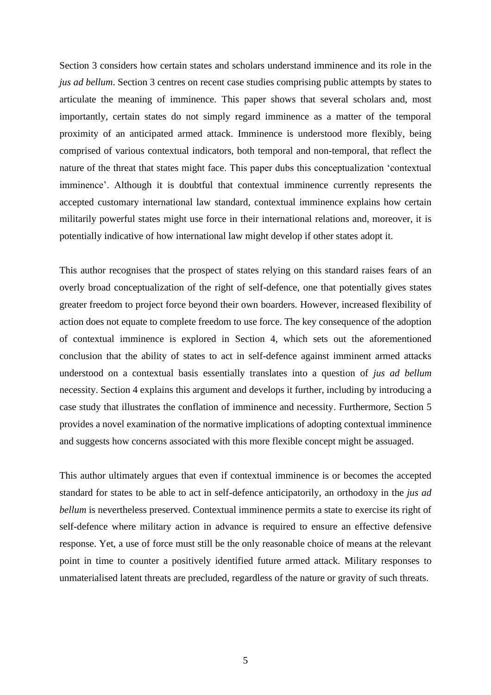Section 3 considers how certain states and scholars understand imminence and its role in the *jus ad bellum*. Section 3 centres on recent case studies comprising public attempts by states to articulate the meaning of imminence. This paper shows that several scholars and, most importantly, certain states do not simply regard imminence as a matter of the temporal proximity of an anticipated armed attack. Imminence is understood more flexibly, being comprised of various contextual indicators, both temporal and non-temporal, that reflect the nature of the threat that states might face. This paper dubs this conceptualization 'contextual imminence'. Although it is doubtful that contextual imminence currently represents the accepted customary international law standard, contextual imminence explains how certain militarily powerful states might use force in their international relations and, moreover, it is potentially indicative of how international law might develop if other states adopt it.

This author recognises that the prospect of states relying on this standard raises fears of an overly broad conceptualization of the right of self-defence, one that potentially gives states greater freedom to project force beyond their own boarders. However, increased flexibility of action does not equate to complete freedom to use force. The key consequence of the adoption of contextual imminence is explored in Section 4, which sets out the aforementioned conclusion that the ability of states to act in self-defence against imminent armed attacks understood on a contextual basis essentially translates into a question of *jus ad bellum* necessity. Section 4 explains this argument and develops it further, including by introducing a case study that illustrates the conflation of imminence and necessity. Furthermore, Section 5 provides a novel examination of the normative implications of adopting contextual imminence and suggests how concerns associated with this more flexible concept might be assuaged.

This author ultimately argues that even if contextual imminence is or becomes the accepted standard for states to be able to act in self-defence anticipatorily, an orthodoxy in the *jus ad bellum* is nevertheless preserved. Contextual imminence permits a state to exercise its right of self-defence where military action in advance is required to ensure an effective defensive response. Yet, a use of force must still be the only reasonable choice of means at the relevant point in time to counter a positively identified future armed attack. Military responses to unmaterialised latent threats are precluded, regardless of the nature or gravity of such threats.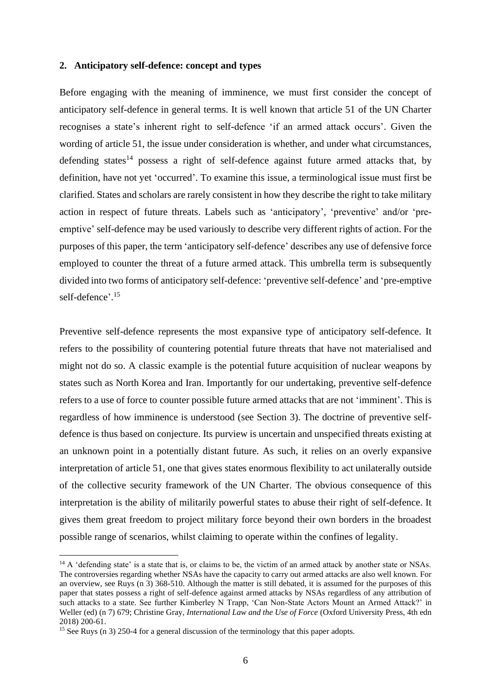#### **2. Anticipatory self-defence: concept and types**

Before engaging with the meaning of imminence, we must first consider the concept of anticipatory self-defence in general terms. It is well known that article 51 of the UN Charter recognises a state's inherent right to self-defence 'if an armed attack occurs'. Given the wording of article 51, the issue under consideration is whether, and under what circumstances, defending states<sup>14</sup> possess a right of self-defence against future armed attacks that, by definition, have not yet 'occurred'. To examine this issue, a terminological issue must first be clarified. States and scholars are rarely consistent in how they describe the right to take military action in respect of future threats. Labels such as 'anticipatory', 'preventive' and/or 'preemptive' self-defence may be used variously to describe very different rights of action. For the purposes of this paper, the term 'anticipatory self-defence' describes any use of defensive force employed to counter the threat of a future armed attack. This umbrella term is subsequently divided into two forms of anticipatory self-defence: 'preventive self-defence' and 'pre-emptive self-defence'. 15

Preventive self-defence represents the most expansive type of anticipatory self-defence. It refers to the possibility of countering potential future threats that have not materialised and might not do so. A classic example is the potential future acquisition of nuclear weapons by states such as North Korea and Iran. Importantly for our undertaking, preventive self-defence refers to a use of force to counter possible future armed attacks that are not 'imminent'. This is regardless of how imminence is understood (see Section 3). The doctrine of preventive selfdefence is thus based on conjecture. Its purview is uncertain and unspecified threats existing at an unknown point in a potentially distant future. As such, it relies on an overly expansive interpretation of article 51, one that gives states enormous flexibility to act unilaterally outside of the collective security framework of the UN Charter. The obvious consequence of this interpretation is the ability of militarily powerful states to abuse their right of self-defence. It gives them great freedom to project military force beyond their own borders in the broadest possible range of scenarios, whilst claiming to operate within the confines of legality.

<sup>&</sup>lt;sup>14</sup> A 'defending state' is a state that is, or claims to be, the victim of an armed attack by another state or NSAs. The controversies regarding whether NSAs have the capacity to carry out armed attacks are also well known. For an overview, see Ruys (n 3) 368-510. Although the matter is still debated, it is assumed for the purposes of this paper that states possess a right of self-defence against armed attacks by NSAs regardless of any attribution of such attacks to a state. See further Kimberley N Trapp, 'Can Non-State Actors Mount an Armed Attack?' in Weller (ed) (n 7) 679; Christine Gray, *International Law and the Use of Force* (Oxford University Press, 4th edn 2018) 200-61.

<sup>&</sup>lt;sup>15</sup> See Ruys (n 3) 250-4 for a general discussion of the terminology that this paper adopts.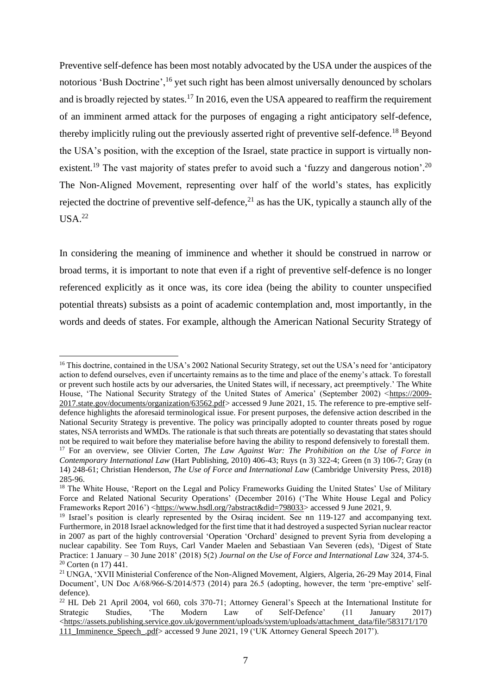Preventive self-defence has been most notably advocated by the USA under the auspices of the notorious 'Bush Doctrine', <sup>16</sup> yet such right has been almost universally denounced by scholars and is broadly rejected by states.<sup>17</sup> In 2016, even the USA appeared to reaffirm the requirement of an imminent armed attack for the purposes of engaging a right anticipatory self-defence, thereby implicitly ruling out the previously asserted right of preventive self-defence.<sup>18</sup> Beyond the USA's position, with the exception of the Israel, state practice in support is virtually nonexistent.<sup>19</sup> The vast majority of states prefer to avoid such a 'fuzzy and dangerous notion'.<sup>20</sup> The Non-Aligned Movement, representing over half of the world's states, has explicitly rejected the doctrine of preventive self-defence, $^{21}$  as has the UK, typically a staunch ally of the  $USA.<sup>22</sup>$ 

In considering the meaning of imminence and whether it should be construed in narrow or broad terms, it is important to note that even if a right of preventive self-defence is no longer referenced explicitly as it once was, its core idea (being the ability to counter unspecified potential threats) subsists as a point of academic contemplation and, most importantly, in the words and deeds of states. For example, although the American National Security Strategy of

<sup>&</sup>lt;sup>16</sup> This doctrine, contained in the USA's 2002 National Security Strategy, set out the USA's need for 'anticipatory action to defend ourselves, even if uncertainty remains as to the time and place of the enemy's attack. To forestall or prevent such hostile acts by our adversaries, the United States will, if necessary, act preemptively.' The White House, 'The National Security Strategy of the United States of America' (September 2002) [<https://2009-](https://2009-2017.state.gov/documents/organization/63562.pdf) [2017.state.gov/documents/organization/63562.pdf>](https://2009-2017.state.gov/documents/organization/63562.pdf) accessed 9 June 2021, 15. The reference to pre-emptive selfdefence highlights the aforesaid terminological issue. For present purposes, the defensive action described in the National Security Strategy is preventive. The policy was principally adopted to counter threats posed by rogue states, NSA terrorists and WMDs. The rationale is that such threats are potentially so devastating that states should not be required to wait before they materialise before having the ability to respond defensively to forestall them.

<sup>&</sup>lt;sup>17</sup> For an overview, see Olivier Corten, *The Law Against War: The Prohibition on the Use of Force in Contemporary International Law* (Hart Publishing, 2010) 406-43; Ruys (n 3) 322-4; Green (n 3) 106-7; Gray (n 14) 248-61; Christian Henderson, *The Use of Force and International Law* (Cambridge University Press, 2018) 285-96.

<sup>&</sup>lt;sup>18</sup> The White House, 'Report on the Legal and Policy Frameworks Guiding the United States' Use of Military Force and Related National Security Operations' (December 2016) ('The White House Legal and Policy Frameworks Report 2016') [<https://www.hsdl.org/?abstract&did=798033>](https://www.hsdl.org/?abstract&did=798033) accessed 9 June 2021, 9.

<sup>&</sup>lt;sup>19</sup> Israel's position is clearly represented by the Osiraq incident. See nn 119-127 and accompanying text. Furthermore, in 2018 Israel acknowledged for the first time that it had destroyed a suspected Syrian nuclear reactor in 2007 as part of the highly controversial 'Operation 'Orchard' designed to prevent Syria from developing a nuclear capability. See Tom Ruys, Carl Vander Maelen and Sebastiaan Van Severen (eds), 'Digest of State Practice: 1 January – 30 June 2018' (2018) 5(2) *Journal on the Use of Force and International Law* 324, 374-5.  $20$  Corten (n 17) 441.

<sup>21</sup> UNGA, 'XVII Ministerial Conference of the Non-Aligned Movement, Algiers, Algeria, 26-29 May 2014, Final Document', UN Doc A/68/966-S/2014/573 (2014) para 26.5 (adopting, however, the term 'pre-emptive' selfdefence).

<sup>&</sup>lt;sup>22</sup> HL Deb 21 April 2004, vol 660, cols 370-71; Attorney General's Speech at the International Institute for Strategic Studies, 'The Modern Law of Self-Defence'  $(11$  January 2017) Strategic Studies, 'The Modern Law of Self-Defence' (11 January 2017)  $\langle$ https://assets.publishing.service.gov.uk/government/uploads/system/uploads/attachment\_data/file/583171/170 [111\\_Imminence\\_Speech\\_.pdf>](https://assets.publishing.service.gov.uk/government/uploads/system/uploads/attachment_data/file/583171/170111_Imminence_Speech_.pdf) accessed 9 June 2021, 19 ('UK Attorney General Speech 2017').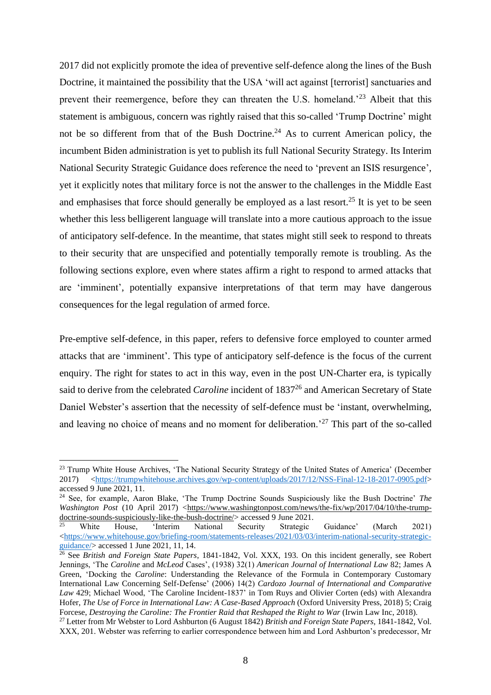2017 did not explicitly promote the idea of preventive self-defence along the lines of the Bush Doctrine, it maintained the possibility that the USA 'will act against [terrorist] sanctuaries and prevent their reemergence, before they can threaten the U.S. homeland.'<sup>23</sup> Albeit that this statement is ambiguous, concern was rightly raised that this so-called 'Trump Doctrine' might not be so different from that of the Bush Doctrine.<sup>24</sup> As to current American policy, the incumbent Biden administration is yet to publish its full National Security Strategy. Its Interim National Security Strategic Guidance does reference the need to 'prevent an ISIS resurgence', yet it explicitly notes that military force is not the answer to the challenges in the Middle East and emphasises that force should generally be employed as a last resort.<sup>25</sup> It is yet to be seen whether this less belligerent language will translate into a more cautious approach to the issue of anticipatory self-defence. In the meantime, that states might still seek to respond to threats to their security that are unspecified and potentially temporally remote is troubling. As the following sections explore, even where states affirm a right to respond to armed attacks that are 'imminent', potentially expansive interpretations of that term may have dangerous consequences for the legal regulation of armed force.

Pre-emptive self-defence, in this paper, refers to defensive force employed to counter armed attacks that are 'imminent'. This type of anticipatory self-defence is the focus of the current enquiry. The right for states to act in this way, even in the post UN-Charter era, is typically said to derive from the celebrated *Caroline* incident of 1837 <sup>26</sup> and American Secretary of State Daniel Webster's assertion that the necessity of self-defence must be 'instant, overwhelming, and leaving no choice of means and no moment for deliberation.<sup>27</sup> This part of the so-called

<sup>&</sup>lt;sup>23</sup> Trump White House Archives, 'The National Security Strategy of the United States of America' (December 2017) [<https://trumpwhitehouse.archives.gov/wp-content/uploads/2017/12/NSS-Final-12-18-2017-0905.pdf>](https://trumpwhitehouse.archives.gov/wp-content/uploads/2017/12/NSS-Final-12-18-2017-0905.pdf) accessed 9 June 2021, 11.

<sup>24</sup> See, for example, Aaron Blake, 'The Trump Doctrine Sounds Suspiciously like the Bush Doctrine' *The Washington Post* (10 April 2017) [<https://www.washingtonpost.com/news/the-fix/wp/2017/04/10/the-trump](https://www.washingtonpost.com/news/the-fix/wp/2017/04/10/the-trump-doctrine-sounds-suspiciously-like-the-bush-doctrine/)[doctrine-sounds-suspiciously-like-the-bush-doctrine/>](https://www.washingtonpost.com/news/the-fix/wp/2017/04/10/the-trump-doctrine-sounds-suspiciously-like-the-bush-doctrine/) accessed 9 June 2021.

<sup>&</sup>lt;sup>25</sup> White House, 'Interim National Security Strategic Guidance' (March 2021)  $\langle$ https://www.whitehouse.gov/briefing-room/statements-releases/2021/03/03/interim-national-security-strategic[guidance/>](https://www.whitehouse.gov/briefing-room/statements-releases/2021/03/03/interim-national-security-strategic-guidance/) accessed 1 June 2021, 11, 14.

<sup>&</sup>lt;sup>26</sup> See *British and Foreign State Papers*, 1841-1842, Vol. XXX, 193. On this incident generally, see Robert Jennings, 'The *Caroline* and *McLeod* Cases', (1938) 32(1) *American Journal of International Law* 82; James A Green, 'Docking the *Caroline*: Understanding the Relevance of the Formula in Contemporary Customary International Law Concerning Self-Defense' (2006) 14(2) *Cardozo Journal of International and Comparative Law* 429; Michael Wood, 'The Caroline Incident-1837' in Tom Ruys and Olivier Corten (eds) with Alexandra Hofer, *The Use of Force in International Law: A Case-Based Approach* (Oxford University Press, 2018) 5; Craig Forcese, *Destroying the Caroline: The Frontier Raid that Reshaped the Right to War* (Irwin Law Inc, 2018).

<sup>27</sup> Letter from Mr Webster to Lord Ashburton (6 August 1842) *British and Foreign State Papers*, 1841-1842, Vol. XXX, 201. Webster was referring to earlier correspondence between him and Lord Ashburton's predecessor, Mr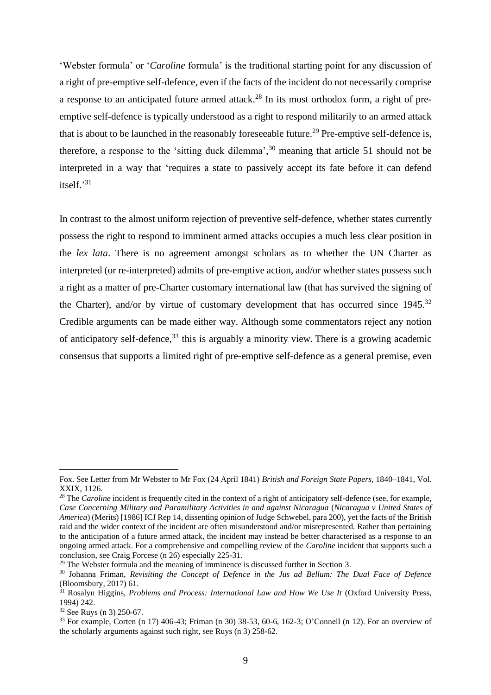'Webster formula' or '*Caroline* formula' is the traditional starting point for any discussion of a right of pre-emptive self-defence, even if the facts of the incident do not necessarily comprise a response to an anticipated future armed attack.<sup>28</sup> In its most orthodox form, a right of preemptive self-defence is typically understood as a right to respond militarily to an armed attack that is about to be launched in the reasonably foreseeable future.<sup>29</sup> Pre-emptive self-defence is, therefore, a response to the 'sitting duck dilemma',<sup>30</sup> meaning that article 51 should not be interpreted in a way that 'requires a state to passively accept its fate before it can defend itself.' 31

In contrast to the almost uniform rejection of preventive self-defence, whether states currently possess the right to respond to imminent armed attacks occupies a much less clear position in the *lex lata*. There is no agreement amongst scholars as to whether the UN Charter as interpreted (or re-interpreted) admits of pre-emptive action, and/or whether states possess such a right as a matter of pre-Charter customary international law (that has survived the signing of the Charter), and/or by virtue of customary development that has occurred since  $1945$ .<sup>32</sup> Credible arguments can be made either way. Although some commentators reject any notion of anticipatory self-defence,  $33$  this is arguably a minority view. There is a growing academic consensus that supports a limited right of pre-emptive self-defence as a general premise, even

Fox. See Letter from Mr Webster to Mr Fox (24 April 1841) *British and Foreign State Papers*, 1840–1841, Vol. XXIX, 1126.

<sup>&</sup>lt;sup>28</sup> The *Caroline* incident is frequently cited in the context of a right of anticipatory self-defence (see, for example, *Case Concerning Military and Paramilitary Activities in and against Nicaragua* (*Nicaragua v United States of America*) (Merits) [1986] ICJ Rep 14, dissenting opinion of Judge Schwebel, para 200), yet the facts of the British raid and the wider context of the incident are often misunderstood and/or misrepresented. Rather than pertaining to the anticipation of a future armed attack, the incident may instead be better characterised as a response to an ongoing armed attack. For a comprehensive and compelling review of the *Caroline* incident that supports such a conclusion, see Craig Forcese (n 26) especially 225-31.

 $29$  The Webster formula and the meaning of imminence is discussed further in Section [3.](#page--1-0)

<sup>30</sup> Johanna Friman, *Revisiting the Concept of Defence in the Jus ad Bellum: The Dual Face of Defence*  (Bloomsbury, 2017) 61.

<sup>31</sup> Rosalyn Higgins, *Problems and Process: International Law and How We Use It* (Oxford University Press, 1994) 242.

<sup>32</sup> See Ruys (n 3) 250-67.

<sup>33</sup> For example, Corten (n 17) 406-43; Friman (n 30) 38-53, 60-6, 162-3; O'Connell (n 12). For an overview of the scholarly arguments against such right, see Ruys (n 3) 258-62.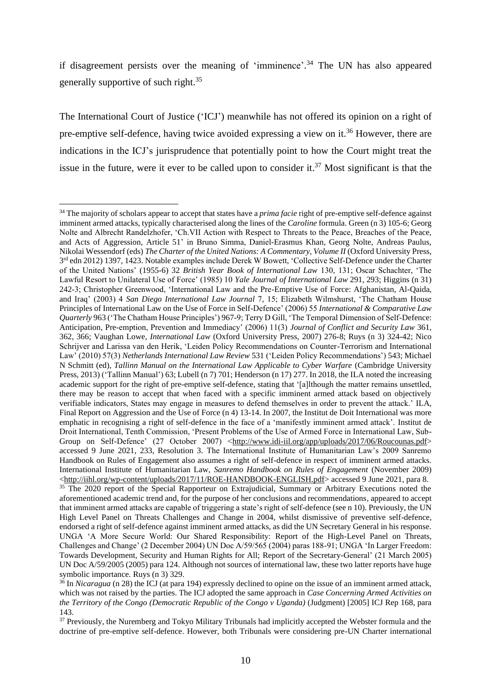if disagreement persists over the meaning of 'imminence'. <sup>34</sup> The UN has also appeared generally supportive of such right.<sup>35</sup>

The International Court of Justice ('ICJ') meanwhile has not offered its opinion on a right of pre-emptive self-defence, having twice avoided expressing a view on it.<sup>36</sup> However, there are indications in the ICJ's jurisprudence that potentially point to how the Court might treat the issue in the future, were it ever to be called upon to consider it.<sup>37</sup> Most significant is that the

<sup>34</sup> The majority of scholars appear to accept that states have a *prima facie* right of pre-emptive self-defence against imminent armed attacks, typically characterised along the lines of the *Caroline* formula. Green (n 3) 105-6; Georg Nolte and Albrecht Randelzhofer, 'Ch.VII Action with Respect to Threats to the Peace, Breaches of the Peace, and Acts of Aggression, Article 51' in Bruno Simma, Daniel-Erasmus Khan, Georg Nolte, Andreas Paulus, Nikolai Wessendorf (eds) *The Charter of the United Nations: A Commentary, Volume II* (Oxford University Press, 3<sup>rd</sup> edn 2012) 1397, 1423. Notable examples include Derek W Bowett, 'Collective Self-Defence under the Charter of the United Nations' (1955-6) 32 *British Year Book of International Law* 130, 131; Oscar Schachter, 'The Lawful Resort to Unilateral Use of Force' (1985) 10 *Yale Journal of International Law* 291, 293; Higgins (n 31) 242-3; Christopher Greenwood, 'International Law and the Pre-Emptive Use of Force: Afghanistan, Al-Qaida, and Iraq' (2003) 4 *San Diego International Law Journal* 7, 15; Elizabeth Wilmshurst, 'The Chatham House Principles of International Law on the Use of Force in Self-Defence' (2006) 55 *International & Comparative Law Quarterly* 963 ('The Chatham House Principles') 967-9; Terry D Gill, 'The Temporal Dimension of Self-Defence: Anticipation, Pre-emption, Prevention and Immediacy' (2006) 11(3) *Journal of Conflict and Security Law* 361, 362, 366; Vaughan Lowe, *International Law* (Oxford University Press, 2007) 276-8; Ruys (n 3) 324-42; Nico Schrijver and Larissa van den Herik, 'Leiden Policy Recommendations on Counter-Terrorism and International Law' (2010) 57(3) *Netherlands International Law Review* 531 ('Leiden Policy Recommendations') 543; Michael N Schmitt (ed), *Tallinn Manual on the International Law Applicable to Cyber Warfare* (Cambridge University Press, 2013) ('Tallinn Manual') 63; Lubell (n 7) 701; Henderson (n 17) 277. In 2018, the ILA noted the increasing academic support for the right of pre-emptive self-defence, stating that '[a]lthough the matter remains unsettled, there may be reason to accept that when faced with a specific imminent armed attack based on objectively verifiable indicators, States may engage in measures to defend themselves in order to prevent the attack.' ILA, Final Report on Aggression and the Use of Force (n 4) 13-14. In 2007, the Institut de Doit International was more emphatic in recognising a right of self-defence in the face of a 'manifestly imminent armed attack'. Institut de Droit International, Tenth Commission, 'Present Problems of the Use of Armed Force in International Law, Sub-Group on Self-Defence' (27 October 2007) [<http://www.idi-iil.org/app/uploads/2017/06/Roucounas.pdf>](http://www.idi-iil.org/app/uploads/2017/06/Roucounas.pdf) accessed 9 June 2021, 233, Resolution 3. The International Institute of Humanitarian Law's 2009 Sanremo Handbook on Rules of Engagement also assumes a right of self-defence in respect of imminent armed attacks. International Institute of Humanitarian Law, *Sanremo Handbook on Rules of Engagement* (November 2009) [<http://iihl.org/wp-content/uploads/2017/11/ROE-HANDBOOK-ENGLISH.pdf>](http://iihl.org/wp-content/uploads/2017/11/ROE-HANDBOOK-ENGLISH.pdf) accessed 9 June 2021, para 8. <sup>35</sup> The 2020 report of the Special Rapporteur on Extrajudicial, Summary or Arbitrary Executions noted the aforementioned academic trend and, for the purpose of her conclusions and recommendations, appeared to accept that imminent armed attacks are capable of triggering a state's right of self-defence (see n 10). Previously, the UN High Level Panel on Threats Challenges and Change in 2004, whilst dismissive of preventive self-defence, endorsed a right of self-defence against imminent armed attacks, as did the UN Secretary General in his response. UNGA 'A More Secure World: Our Shared Responsibility: Report of the High-Level Panel on Threats, Challenges and Change' (2 December 2004) UN Doc A/59/565 (2004) paras 188-91; UNGA 'In Larger Freedom: Towards Development, Security and Human Rights for All; Report of the Secretary-General' (21 March 2005) UN Doc A/59/2005 (2005) para 124. Although not sources of international law, these two latter reports have huge symbolic importance. Ruys (n 3) 329.

<sup>36</sup> In *Nicaragua* (n 28) the ICJ (at para 194) expressly declined to opine on the issue of an imminent armed attack, which was not raised by the parties. The ICJ adopted the same approach in *Case Concerning Armed Activities on the Territory of the Congo (Democratic Republic of the Congo v Uganda)* (Judgment) [2005] ICJ Rep 168, para 143.

<sup>&</sup>lt;sup>37</sup> Previously, the Nuremberg and Tokyo Military Tribunals had implicitly accepted the Webster formula and the doctrine of pre-emptive self-defence. However, both Tribunals were considering pre-UN Charter international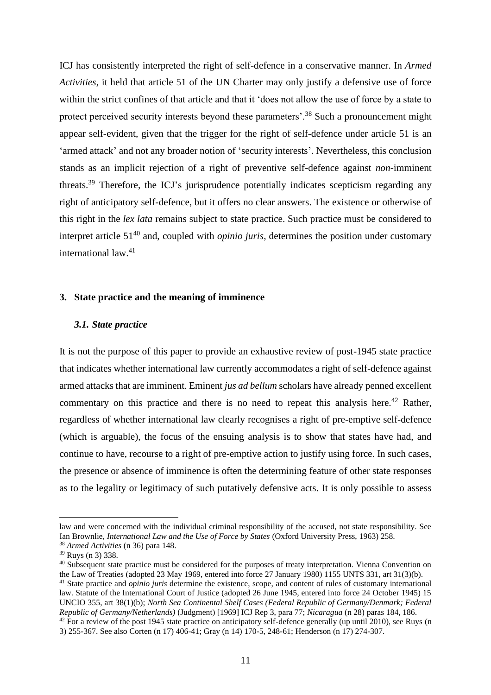ICJ has consistently interpreted the right of self-defence in a conservative manner. In *Armed Activities*, it held that article 51 of the UN Charter may only justify a defensive use of force within the strict confines of that article and that it 'does not allow the use of force by a state to protect perceived security interests beyond these parameters'.<sup>38</sup> Such a pronouncement might appear self-evident, given that the trigger for the right of self-defence under article 51 is an 'armed attack' and not any broader notion of 'security interests'. Nevertheless, this conclusion stands as an implicit rejection of a right of preventive self-defence against *non-*imminent threats.<sup>39</sup> Therefore, the ICJ's jurisprudence potentially indicates scepticism regarding any right of anticipatory self-defence, but it offers no clear answers. The existence or otherwise of this right in the *lex lata* remains subject to state practice. Such practice must be considered to interpret article 51<sup>40</sup> and, coupled with *opinio juris*, determines the position under customary international law.<sup>41</sup>

# **3. State practice and the meaning of imminence**

# *3.1. State practice*

It is not the purpose of this paper to provide an exhaustive review of post-1945 state practice that indicates whether international law currently accommodates a right of self-defence against armed attacks that are imminent. Eminent *jus ad bellum* scholars have already penned excellent commentary on this practice and there is no need to repeat this analysis here.<sup>42</sup> Rather, regardless of whether international law clearly recognises a right of pre-emptive self-defence (which is arguable), the focus of the ensuing analysis is to show that states have had, and continue to have, recourse to a right of pre-emptive action to justify using force. In such cases, the presence or absence of imminence is often the determining feature of other state responses as to the legality or legitimacy of such putatively defensive acts. It is only possible to assess

law and were concerned with the individual criminal responsibility of the accused, not state responsibility. See Ian Brownlie, *International Law and the Use of Force by States* (Oxford University Press, 1963) 258.

<sup>38</sup> *Armed Activities* (n 36) para 148.

<sup>39</sup> Ruys (n 3) 338.

<sup>&</sup>lt;sup>40</sup> Subsequent state practice must be considered for the purposes of treaty interpretation. Vienna Convention on the Law of Treaties (adopted 23 May 1969, entered into force 27 January 1980) 1155 UNTS 331, art 31(3)(b). <sup>41</sup> State practice and *opinio juris* determine the existence, scope, and content of rules of customary international

law. Statute of the International Court of Justice (adopted 26 June 1945, entered into force 24 October 1945) 15 UNCIO 355, art 38(1)(b); *North Sea Continental Shelf Cases (Federal Republic of Germany/Denmark; Federal Republic of Germany/Netherlands)* (Judgment) [1969] ICJ Rep 3, para 77; *Nicaragua* (n 28) paras 184, 186.

 $42$  For a review of the post 1945 state practice on anticipatory self-defence generally (up until 2010), see Ruys (n 3) 255-367. See also Corten (n 17) 406-41; Gray (n 14) 170-5, 248-61; Henderson (n 17) 274-307.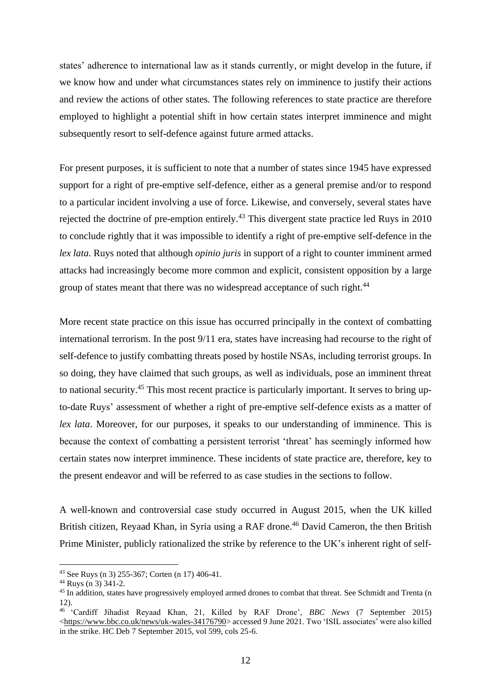states' adherence to international law as it stands currently, or might develop in the future, if we know how and under what circumstances states rely on imminence to justify their actions and review the actions of other states. The following references to state practice are therefore employed to highlight a potential shift in how certain states interpret imminence and might subsequently resort to self-defence against future armed attacks.

For present purposes, it is sufficient to note that a number of states since 1945 have expressed support for a right of pre-emptive self-defence, either as a general premise and/or to respond to a particular incident involving a use of force. Likewise, and conversely, several states have rejected the doctrine of pre-emption entirely.<sup>43</sup> This divergent state practice led Ruys in 2010 to conclude rightly that it was impossible to identify a right of pre-emptive self-defence in the *lex lata.* Ruys noted that although *opinio juris* in support of a right to counter imminent armed attacks had increasingly become more common and explicit, consistent opposition by a large group of states meant that there was no widespread acceptance of such right.<sup>44</sup>

More recent state practice on this issue has occurred principally in the context of combatting international terrorism. In the post 9/11 era, states have increasing had recourse to the right of self-defence to justify combatting threats posed by hostile NSAs, including terrorist groups. In so doing, they have claimed that such groups, as well as individuals, pose an imminent threat to national security.<sup>45</sup> This most recent practice is particularly important. It serves to bring upto-date Ruys' assessment of whether a right of pre-emptive self-defence exists as a matter of *lex lata*. Moreover, for our purposes, it speaks to our understanding of imminence. This is because the context of combatting a persistent terrorist 'threat' has seemingly informed how certain states now interpret imminence. These incidents of state practice are, therefore, key to the present endeavor and will be referred to as case studies in the sections to follow.

A well-known and controversial case study occurred in August 2015, when the UK killed British citizen, Reyaad Khan, in Syria using a RAF drone.<sup>46</sup> David Cameron, the then British Prime Minister, publicly rationalized the strike by reference to the UK's inherent right of self-

<sup>43</sup> See Ruys (n 3) 255-367; Corten (n 17) 406-41.

<sup>44</sup> Ruys (n 3) 341-2.

<sup>&</sup>lt;sup>45</sup> In addition, states have progressively employed armed drones to combat that threat. See Schmidt and Trenta (n 12).

<sup>46</sup> 'Cardiff Jihadist Reyaad Khan, 21, Killed by RAF Drone', *BBC News* (7 September 2015) [<https://www.bbc.co.uk/news/uk-wales-34176790>](https://www.bbc.co.uk/news/uk-wales-34176790) accessed 9 June 2021. Two 'ISIL associates' were also killed in the strike. HC Deb 7 September 2015, vol 599, cols 25-6.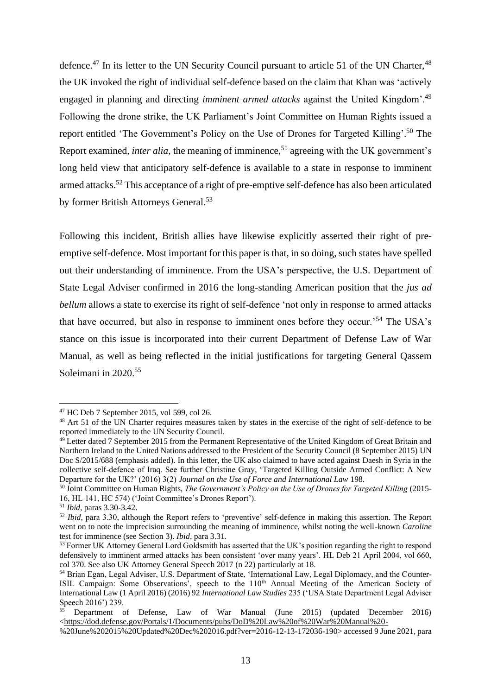defence.<sup>47</sup> In its letter to the UN Security Council pursuant to article 51 of the UN Charter,  $48$ the UK invoked the right of individual self-defence based on the claim that Khan was 'actively engaged in planning and directing *imminent armed attacks* against the United Kingdom'.<sup>49</sup> Following the drone strike, the UK Parliament's Joint Committee on Human Rights issued a report entitled 'The Government's Policy on the Use of Drones for Targeted Killing'. <sup>50</sup> The Report examined, *inter alia*, the meaning of imminence, <sup>51</sup> agreeing with the UK government's long held view that anticipatory self-defence is available to a state in response to imminent armed attacks.<sup>52</sup> This acceptance of a right of pre-emptive self-defence has also been articulated by former British Attorneys General.<sup>53</sup>

Following this incident, British allies have likewise explicitly asserted their right of preemptive self-defence. Most important for this paper is that, in so doing, such states have spelled out their understanding of imminence. From the USA's perspective, the U.S. Department of State Legal Adviser confirmed in 2016 the long-standing American position that the *jus ad bellum* allows a state to exercise its right of self-defence 'not only in response to armed attacks that have occurred, but also in response to imminent ones before they occur.'<sup>54</sup> The USA's stance on this issue is incorporated into their current Department of Defense Law of War Manual, as well as being reflected in the initial justifications for targeting General Qassem Soleimani in 2020. 55

<sup>47</sup> HC Deb 7 September 2015, vol 599, col 26.

<sup>&</sup>lt;sup>48</sup> Art 51 of the UN Charter requires measures taken by states in the exercise of the right of self-defence to be reported immediately to the UN Security Council.

<sup>49</sup> Letter dated 7 September 2015 from the Permanent Representative of the United Kingdom of Great Britain and Northern Ireland to the United Nations addressed to the President of the Security Council (8 September 2015) UN Doc S/2015/688 (emphasis added). In this letter, the UK also claimed to have acted against Daesh in Syria in the collective self-defence of Iraq. See further Christine Gray, 'Targeted Killing Outside Armed Conflict: A New Departure for the UK?' (2016) 3(2) *Journal on the Use of Force and International Law* 198.

<sup>50</sup> Joint Committee on Human Rights, *The Government's Policy on the Use of Drones for Targeted Killing* (2015- 16, HL 141, HC 574) ('Joint Committee's Drones Report').

<sup>51</sup> *Ibid*, paras 3.30-3.42.

<sup>52</sup> *Ibid*, para 3.30, although the Report refers to 'preventive' self-defence in making this assertion. The Report went on to note the imprecision surrounding the meaning of imminence, whilst noting the well-known *Caroline* test for imminence (see Section [3\)](#page--1-0). *Ibid*, para 3.31.

<sup>&</sup>lt;sup>53</sup> Former UK Attorney General Lord Goldsmith has asserted that the UK's position regarding the right to respond defensively to imminent armed attacks has been consistent 'over many years'. HL Deb 21 April 2004, vol 660, col 370. See also UK Attorney General Speech 2017 (n 22) particularly at 18.

<sup>&</sup>lt;sup>54</sup> Brian Egan, Legal Adviser, U.S. Department of State, 'International Law, Legal Diplomacy, and the Counter-ISIL Campaign: Some Observations', speech to the 110<sup>th</sup> Annual Meeting of the American Society of International Law (1 April 2016) (2016) 92 *International Law Studies* 235 ('USA State Department Legal Adviser Speech 2016') 239.

<sup>55</sup> Department of Defense, Law of War Manual (June 2015) (updated December 2016) [<https://dod.defense.gov/Portals/1/Documents/pubs/DoD%20Law%20of%20War%20Manual%20-](https://dod.defense.gov/Portals/1/Documents/pubs/DoD%20Law%20of%20War%20Manual%20-%20June%202015%20Updated%20Dec%202016.pdf?ver=2016-12-13-172036-190)

[<sup>%20</sup>June%202015%20Updated%20Dec%202016.pdf?ver=2016-12-13-172036-190>](https://dod.defense.gov/Portals/1/Documents/pubs/DoD%20Law%20of%20War%20Manual%20-%20June%202015%20Updated%20Dec%202016.pdf?ver=2016-12-13-172036-190) accessed 9 June 2021, para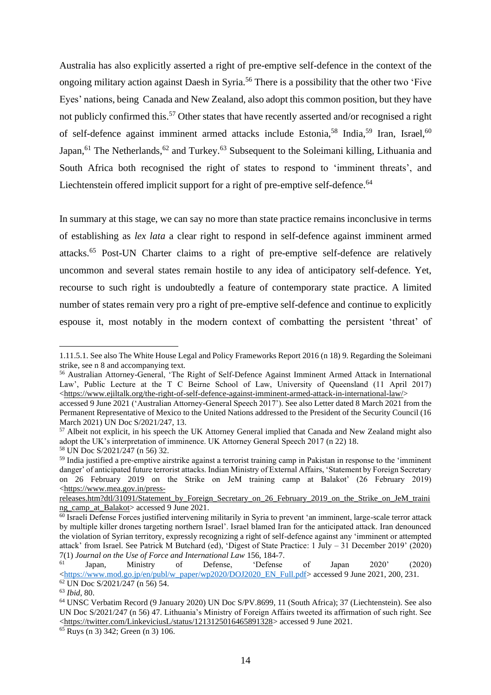Australia has also explicitly asserted a right of pre-emptive self-defence in the context of the ongoing military action against Daesh in Syria. <sup>56</sup> There is a possibility that the other two 'Five Eyes' nations, being Canada and New Zealand, also adopt this common position, but they have not publicly confirmed this. <sup>57</sup> Other states that have recently asserted and/or recognised a right of self-defence against imminent armed attacks include Estonia,<sup>58</sup> India,<sup>59</sup> Iran, Israel,<sup>60</sup> Japan,<sup>61</sup> The Netherlands,<sup>62</sup> and Turkey.<sup>63</sup> Subsequent to the Soleimani killing, Lithuania and South Africa both recognised the right of states to respond to 'imminent threats', and Liechtenstein offered implicit support for a right of pre-emptive self-defence.<sup>64</sup>

In summary at this stage, we can say no more than state practice remains inconclusive in terms of establishing as *lex lata* a clear right to respond in self-defence against imminent armed attacks.<sup>65</sup> Post-UN Charter claims to a right of pre-emptive self-defence are relatively uncommon and several states remain hostile to any idea of anticipatory self-defence. Yet, recourse to such right is undoubtedly a feature of contemporary state practice. A limited number of states remain very pro a right of pre-emptive self-defence and continue to explicitly espouse it, most notably in the modern context of combatting the persistent 'threat' of

<sup>1.11.5.1.</sup> See also The White House Legal and Policy Frameworks Report 2016 (n 18) 9. Regarding the Soleimani strike, see n 8 and accompanying text.

<sup>&</sup>lt;sup>56</sup> Australian Attorney-General, 'The Right of Self-Defence Against Imminent Armed Attack in International Law', Public Lecture at the T C Beirne School of Law, University of Queensland (11 April 2017) [<https://www.ejiltalk.org/the-right-of-self-defence-against-imminent-armed-attack-in-international-law/>](https://www.ejiltalk.org/the-right-of-self-defence-against-imminent-armed-attack-in-international-law/)

accessed 9 June 2021 ('Australian Attorney-General Speech 2017'). See also Letter dated 8 March 2021 from the Permanent Representative of Mexico to the United Nations addressed to the President of the Security Council (16 March 2021) UN Doc S/2021/247, 13.

<sup>57</sup> Albeit not explicit, in his speech the UK Attorney General implied that Canada and New Zealand might also adopt the UK's interpretation of imminence. UK Attorney General Speech 2017 (n 22) 18. <sup>58</sup> UN Doc S/2021/247 (n 56) 32.

<sup>59</sup> India justified a pre-emptive airstrike against a terrorist training camp in Pakistan in response to the 'imminent danger' of anticipated future terrorist attacks. Indian Ministry of External Affairs, 'Statement by Foreign Secretary on 26 February 2019 on the Strike on JeM training camp at Balakot' (26 February 2019) [<https://www.mea.gov.in/press-](https://www.mea.gov.in/press-releases.htm?dtl/31091/Statement_by_Foreign_Secretary_on_26_February_2019_on_the_Strike_on_JeM_training_camp_at_Balakot)

[releases.htm?dtl/31091/Statement\\_by\\_Foreign\\_Secretary\\_on\\_26\\_February\\_2019\\_on\\_the\\_Strike\\_on\\_JeM\\_traini](https://www.mea.gov.in/press-releases.htm?dtl/31091/Statement_by_Foreign_Secretary_on_26_February_2019_on_the_Strike_on_JeM_training_camp_at_Balakot) [ng\\_camp\\_at\\_Balakot>](https://www.mea.gov.in/press-releases.htm?dtl/31091/Statement_by_Foreign_Secretary_on_26_February_2019_on_the_Strike_on_JeM_training_camp_at_Balakot) accessed 9 June 2021.

<sup>60</sup> Israeli Defense Forces justified intervening militarily in Syria to prevent 'an imminent, large-scale terror attack by multiple killer drones targeting northern Israel'. Israel blamed Iran for the anticipated attack. Iran denounced the violation of Syrian territory, expressly recognizing a right of self-defence against any 'imminent or attempted attack' from Israel. See Patrick M Butchard (ed), 'Digest of State Practice: 1 July – 31 December 2019' (2020) 7(1) *Journal on the Use of Force and International Law* 156, 184-7.

<sup>61</sup> Japan, Ministry of Defense, 'Defense of Japan 2020' (2020) [<https://www.mod.go.jp/en/publ/w\\_paper/wp2020/DOJ2020\\_EN\\_Full.pdf>](https://www.mod.go.jp/en/publ/w_paper/wp2020/DOJ2020_EN_Full.pdf) accessed 9 June 2021, 200, 231.

<sup>62</sup> UN Doc S/2021/247 (n 56) 54.

<sup>63</sup> *Ibid*, 80.

<sup>64</sup> UNSC Verbatim Record (9 January 2020) UN Doc S/PV.8699, 11 (South Africa); 37 (Liechtenstein). See also UN Doc S/2021/247 (n 56) 47. Lithuania's Ministry of Foreign Affairs tweeted its affirmation of such right. See [<https://twitter.com/LinkeviciusL/status/1213125016465891328>](https://twitter.com/LinkeviciusL/status/1213125016465891328) accessed 9 June 2021.

<sup>65</sup> Ruys (n 3) 342; Green (n 3) 106.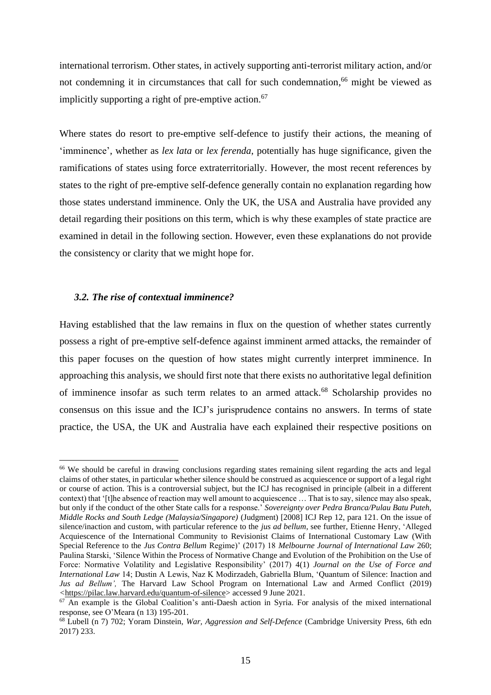international terrorism. Other states, in actively supporting anti-terrorist military action, and/or not condemning it in circumstances that call for such condemnation, <sup>66</sup> might be viewed as implicitly supporting a right of pre-emptive action.<sup>67</sup>

Where states do resort to pre-emptive self-defence to justify their actions, the meaning of 'imminence', whether as *lex lata* or *lex ferenda*, potentially has huge significance, given the ramifications of states using force extraterritorially. However, the most recent references by states to the right of pre-emptive self-defence generally contain no explanation regarding how those states understand imminence. Only the UK, the USA and Australia have provided any detail regarding their positions on this term, which is why these examples of state practice are examined in detail in the following section. However, even these explanations do not provide the consistency or clarity that we might hope for.

#### *3.2. The rise of contextual imminence?*

Having established that the law remains in flux on the question of whether states currently possess a right of pre-emptive self-defence against imminent armed attacks, the remainder of this paper focuses on the question of how states might currently interpret imminence. In approaching this analysis, we should first note that there exists no authoritative legal definition of imminence insofar as such term relates to an armed attack.<sup>68</sup> Scholarship provides no consensus on this issue and the ICJ's jurisprudence contains no answers. In terms of state practice, the USA, the UK and Australia have each explained their respective positions on

<sup>&</sup>lt;sup>66</sup> We should be careful in drawing conclusions regarding states remaining silent regarding the acts and legal claims of other states, in particular whether silence should be construed as acquiescence or support of a legal right or course of action. This is a controversial subject, but the ICJ has recognised in principle (albeit in a different context) that '[t]he absence of reaction may well amount to acquiescence … That is to say, silence may also speak, but only if the conduct of the other State calls for a response.' *Sovereignty over Pedra Branca/Pulau Batu Puteh, Middle Rocks and South Ledge (Malaysia/Singapore)* (Judgment) [2008] ICJ Rep 12, para 121. On the issue of silence/inaction and custom, with particular reference to the *jus ad bellum*, see further, Etienne Henry, 'Alleged Acquiescence of the International Community to Revisionist Claims of International Customary Law (With Special Reference to the *Jus Contra Bellum* Regime)' (2017) 18 *Melbourne Journal of International Law* 260; Paulina Starski, 'Silence Within the Process of Normative Change and Evolution of the Prohibition on the Use of Force: Normative Volatility and Legislative Responsibility' (2017) 4(1) *Journal on the Use of Force and International Law* 14; Dustin A Lewis, Naz K Modirzadeh, Gabriella Blum, 'Quantum of Silence: Inaction and *Jus ad Bellum',* The Harvard Law School Program on International Law and Armed Conflict (2019) *<*[https://pilac.law.harvard.edu/quantum-of-silence>](https://pilac.law.harvard.edu/quantum-of-silence) accessed 9 June 2021.

<sup>&</sup>lt;sup>67</sup> An example is the Global Coalition's anti-Daesh action in Syria. For analysis of the mixed international response, see O'Meara (n 13) 195-201.

<sup>68</sup> Lubell (n 7) 702; Yoram Dinstein, *War, Aggression and Self-Defence* (Cambridge University Press, 6th edn 2017) 233.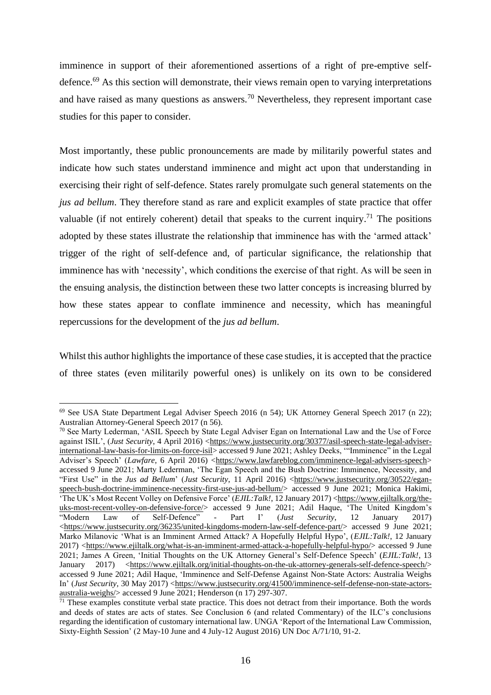imminence in support of their aforementioned assertions of a right of pre-emptive selfdefence.<sup>69</sup> As this section will demonstrate, their views remain open to varying interpretations and have raised as many questions as answers.<sup>70</sup> Nevertheless, they represent important case studies for this paper to consider.

Most importantly, these public pronouncements are made by militarily powerful states and indicate how such states understand imminence and might act upon that understanding in exercising their right of self-defence. States rarely promulgate such general statements on the *jus ad bellum*. They therefore stand as rare and explicit examples of state practice that offer valuable (if not entirely coherent) detail that speaks to the current inquiry.<sup>71</sup> The positions adopted by these states illustrate the relationship that imminence has with the 'armed attack' trigger of the right of self-defence and, of particular significance, the relationship that imminence has with 'necessity', which conditions the exercise of that right. As will be seen in the ensuing analysis, the distinction between these two latter concepts is increasing blurred by how these states appear to conflate imminence and necessity, which has meaningful repercussions for the development of the *jus ad bellum*.

Whilst this author highlights the importance of these case studies, it is accepted that the practice of three states (even militarily powerful ones) is unlikely on its own to be considered

<sup>69</sup> See USA State Department Legal Adviser Speech 2016 (n 54); UK Attorney General Speech 2017 (n 22); Australian Attorney-General Speech 2017 (n 56).

<sup>&</sup>lt;sup>70</sup> See Marty Lederman, 'ASIL Speech by State Legal Adviser Egan on International Law and the Use of Force against ISIL', (*Just Security*, 4 April 2016) [<https://www.justsecurity.org/30377/asil-speech-state-legal-adviser](https://www.justsecurity.org/30377/asil-speech-state-legal-adviser-international-law-basis-for-limits-on-force-isil)[international-law-basis-for-limits-on-force-isil>](https://www.justsecurity.org/30377/asil-speech-state-legal-adviser-international-law-basis-for-limits-on-force-isil) accessed 9 June 2021; Ashley Deeks, '"Imminence" in the Legal Adviser's Speech' (*Lawfare*, 6 April 2016) [<https://www.lawfareblog.com/imminence-legal-advisers-speech>](https://www.lawfareblog.com/imminence-legal-advisers-speech) accessed 9 June 2021; Marty Lederman, 'The Egan Speech and the Bush Doctrine: Imminence, Necessity, and "First Use" in the *Jus ad Bellum*' (*Just Security*, 11 April 2016) [<https://www.justsecurity.org/30522/egan](https://www.justsecurity.org/30522/egan-speech-bush-doctrine-imminence-necessity-first-use-jus-ad-bellum/)[speech-bush-doctrine-imminence-necessity-first-use-jus-ad-bellum/>](https://www.justsecurity.org/30522/egan-speech-bush-doctrine-imminence-necessity-first-use-jus-ad-bellum/) accessed 9 June 2021; Monica Hakimi, 'The UK's Most Recent Volley on Defensive Force' (*EJIL:Talk!*, 12 January 2017) [<https://www.ejiltalk.org/the](https://www.ejiltalk.org/the-uks-most-recent-volley-on-defensive-force/)[uks-most-recent-volley-on-defensive-force/>](https://www.ejiltalk.org/the-uks-most-recent-volley-on-defensive-force/) accessed 9 June 2021; Adil Haque, 'The United Kingdom's "Modern Law of Self-Defence" - Part I' (*Just Security*, 12 January 2017) [<https://www.justsecurity.org/36235/united-kingdoms-modern-law-self-defence-part/>](https://www.justsecurity.org/36235/united-kingdoms-modern-law-self-defence-part/) accessed 9 June 2021; Marko Milanovic 'What is an Imminent Armed Attack? A Hopefully Helpful Hypo', (*EJIL:Talk!*, 12 January 2017) [<https://www.ejiltalk.org/what-is-an-imminent-armed-attack-a-hopefully-helpful-hypo/>](https://www.ejiltalk.org/what-is-an-imminent-armed-attack-a-hopefully-helpful-hypo/) accessed 9 June 2021; James A Green, 'Initial Thoughts on the UK Attorney General's Self-Defence Speech' (*EJIL:Talk!*, 13 January 2017) [<https://www.ejiltalk.org/initial-thoughts-on-the-uk-attorney-generals-self-defence-speech/>](https://www.ejiltalk.org/initial-thoughts-on-the-uk-attorney-generals-self-defence-speech/) accessed 9 June 2021; Adil Haque, 'Imminence and Self-Defense Against Non-State Actors: Australia Weighs In' (*Just Security*, 30 May 2017) [<https://www.justsecurity.org/41500/imminence-self-defense-non-state-actors](https://www.justsecurity.org/41500/imminence-self-defense-non-state-actors-australia-weighs/)[australia-weighs/>](https://www.justsecurity.org/41500/imminence-self-defense-non-state-actors-australia-weighs/) accessed 9 June 2021; Henderson (n 17) 297-307.

 $71$  These examples constitute verbal state practice. This does not detract from their importance. Both the words and deeds of states are acts of states. See Conclusion 6 (and related Commentary) of the ILC's conclusions regarding the identification of customary international law. UNGA 'Report of the International Law Commission, Sixty-Eighth Session' (2 May-10 June and 4 July-12 August 2016) UN Doc A/71/10, 91-2.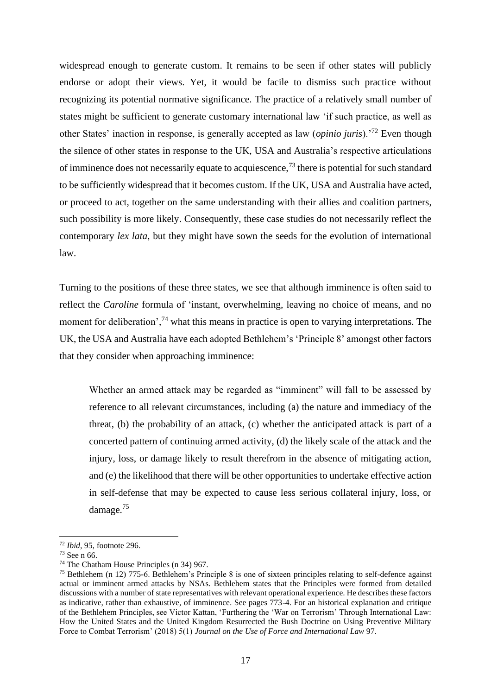widespread enough to generate custom. It remains to be seen if other states will publicly endorse or adopt their views. Yet, it would be facile to dismiss such practice without recognizing its potential normative significance. The practice of a relatively small number of states might be sufficient to generate customary international law 'if such practice, as well as other States' inaction in response, is generally accepted as law (*opinio juris*).'<sup>72</sup> Even though the silence of other states in response to the UK, USA and Australia's respective articulations of imminence does not necessarily equate to acquiescence,  $^{73}$  there is potential for such standard to be sufficiently widespread that it becomes custom. If the UK, USA and Australia have acted, or proceed to act, together on the same understanding with their allies and coalition partners, such possibility is more likely. Consequently, these case studies do not necessarily reflect the contemporary *lex lata*, but they might have sown the seeds for the evolution of international law.

Turning to the positions of these three states, we see that although imminence is often said to reflect the *Caroline* formula of 'instant, overwhelming, leaving no choice of means, and no moment for deliberation',<sup>74</sup> what this means in practice is open to varying interpretations. The UK, the USA and Australia have each adopted Bethlehem's 'Principle 8' amongst other factors that they consider when approaching imminence:

Whether an armed attack may be regarded as "imminent" will fall to be assessed by reference to all relevant circumstances, including (a) the nature and immediacy of the threat, (b) the probability of an attack, (c) whether the anticipated attack is part of a concerted pattern of continuing armed activity, (d) the likely scale of the attack and the injury, loss, or damage likely to result therefrom in the absence of mitigating action, and (e) the likelihood that there will be other opportunities to undertake effective action in self-defense that may be expected to cause less serious collateral injury, loss, or damage.<sup>75</sup>

<sup>72</sup> *Ibid*, 95, footnote 296.

<sup>73</sup> See n 66.

<sup>74</sup> The Chatham House Principles (n 34) 967.

<sup>75</sup> Bethlehem (n 12) 775-6. Bethlehem's Principle 8 is one of sixteen principles relating to self-defence against actual or imminent armed attacks by NSAs. Bethlehem states that the Principles were formed from detailed discussions with a number of state representatives with relevant operational experience. He describes these factors as indicative, rather than exhaustive, of imminence. See pages 773-4. For an historical explanation and critique of the Bethlehem Principles, see Victor Kattan, 'Furthering the 'War on Terrorism' Through International Law: How the United States and the United Kingdom Resurrected the Bush Doctrine on Using Preventive Military Force to Combat Terrorism' (2018) 5(1) *Journal on the Use of Force and International Law* 97.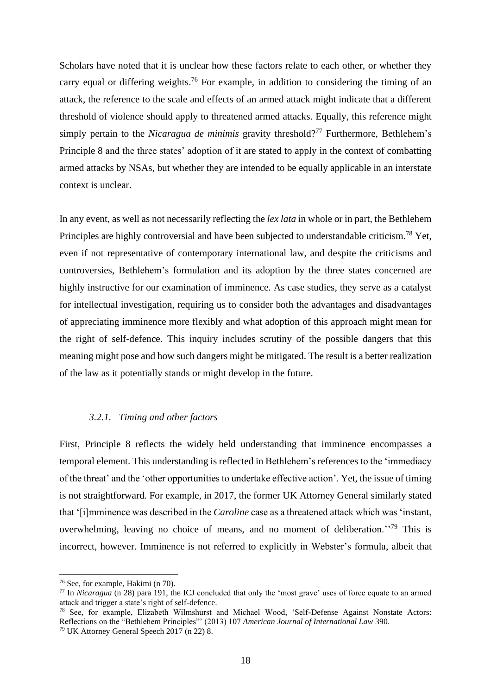Scholars have noted that it is unclear how these factors relate to each other, or whether they carry equal or differing weights.<sup>76</sup> For example, in addition to considering the timing of an attack, the reference to the scale and effects of an armed attack might indicate that a different threshold of violence should apply to threatened armed attacks. Equally, this reference might simply pertain to the *Nicaragua de minimis* gravity threshold?<sup>77</sup> Furthermore, Bethlehem's Principle 8 and the three states' adoption of it are stated to apply in the context of combatting armed attacks by NSAs, but whether they are intended to be equally applicable in an interstate context is unclear.

In any event, as well as not necessarily reflecting the *lex lata* in whole or in part, the Bethlehem Principles are highly controversial and have been subjected to understandable criticism.<sup>78</sup> Yet, even if not representative of contemporary international law, and despite the criticisms and controversies, Bethlehem's formulation and its adoption by the three states concerned are highly instructive for our examination of imminence. As case studies, they serve as a catalyst for intellectual investigation, requiring us to consider both the advantages and disadvantages of appreciating imminence more flexibly and what adoption of this approach might mean for the right of self-defence. This inquiry includes scrutiny of the possible dangers that this meaning might pose and how such dangers might be mitigated. The result is a better realization of the law as it potentially stands or might develop in the future.

#### *3.2.1. Timing and other factors*

First, Principle 8 reflects the widely held understanding that imminence encompasses a temporal element. This understanding is reflected in Bethlehem's references to the 'immediacy of the threat' and the 'other opportunities to undertake effective action'. Yet, the issue of timing is not straightforward. For example, in 2017, the former UK Attorney General similarly stated that '[i]mminence was described in the *Caroline* case as a threatened attack which was 'instant, overwhelming, leaving no choice of means, and no moment of deliberation.<sup>''79</sup> This is incorrect, however. Imminence is not referred to explicitly in Webster's formula, albeit that

<sup>76</sup> See, for example, Hakimi (n 70).

<sup>77</sup> In *Nicaragua* (n 28) para 191, the ICJ concluded that only the 'most grave' uses of force equate to an armed attack and trigger a state's right of self-defence.

<sup>78</sup> See, for example, Elizabeth Wilmshurst and Michael Wood, 'Self-Defense Against Nonstate Actors: Reflections on the "Bethlehem Principles"' (2013) 107 *American Journal of International Law* 390. <sup>79</sup> UK Attorney General Speech  $2017$  (n 22) 8.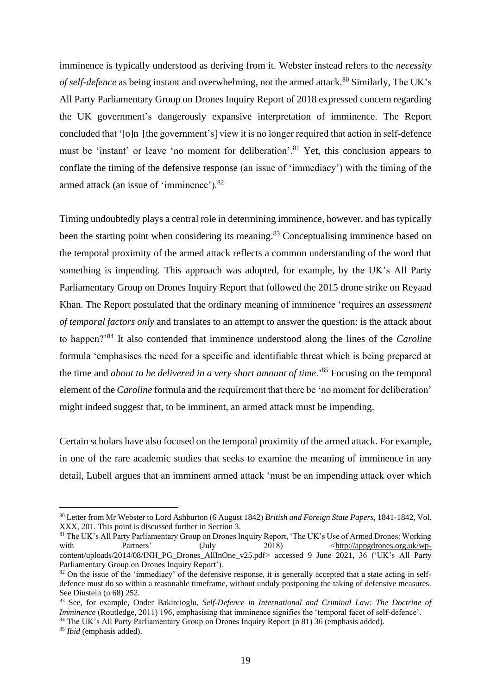imminence is typically understood as deriving from it. Webster instead refers to the *necessity of self-defence* as being instant and overwhelming, not the armed attack.<sup>80</sup> Similarly, The UK's All Party Parliamentary Group on Drones Inquiry Report of 2018 expressed concern regarding the UK government's dangerously expansive interpretation of imminence. The Report concluded that '[o]n [the government's] view it is no longer required that action in self-defence must be 'instant' or leave 'no moment for deliberation'.<sup>81</sup> Yet, this conclusion appears to conflate the timing of the defensive response (an issue of 'immediacy') with the timing of the armed attack (an issue of 'imminence').<sup>82</sup>

Timing undoubtedly plays a central role in determining imminence, however, and has typically been the starting point when considering its meaning.<sup>83</sup> Conceptualising imminence based on the temporal proximity of the armed attack reflects a common understanding of the word that something is impending. This approach was adopted, for example, by the UK's All Party Parliamentary Group on Drones Inquiry Report that followed the 2015 drone strike on Reyaad Khan. The Report postulated that the ordinary meaning of imminence 'requires an *assessment of temporal factors only* and translates to an attempt to answer the question: is the attack about to happen?'<sup>84</sup> It also contended that imminence understood along the lines of the *Caroline* formula 'emphasises the need for a specific and identifiable threat which is being prepared at the time and *about to be delivered in a very short amount of time*.'<sup>85</sup> Focusing on the temporal element of the *Caroline* formula and the requirement that there be 'no moment for deliberation' might indeed suggest that, to be imminent, an armed attack must be impending.

Certain scholars have also focused on the temporal proximity of the armed attack. For example, in one of the rare academic studies that seeks to examine the meaning of imminence in any detail, Lubell argues that an imminent armed attack 'must be an impending attack over which

<sup>80</sup> Letter from Mr Webster to Lord Ashburton (6 August 1842) *British and Foreign State Papers*, 1841-1842, Vol. XXX, 201. This point is discussed further in Sectio[n 3.](#page--1-0)

<sup>&</sup>lt;sup>81</sup> The UK's All Party Parliamentary Group on Drones Inquiry Report, 'The UK's Use of Armed Drones: Working with Partners' (July 2018)  $\leq \frac{\text{http://appgdrones.org.uk/wp-}}{\text{http://appgdrones.org.uk/wp-}}$ [content/uploads/2014/08/INH\\_PG\\_Drones\\_AllInOne\\_v25.pdf>](http://appgdrones.org.uk/wp-content/uploads/2014/08/INH_PG_Drones_AllInOne_v25.pdf) accessed 9 June 2021, 36 ('UK's All Party Parliamentary Group on Drones Inquiry Report').

<sup>&</sup>lt;sup>82</sup> On the issue of the 'immediacy' of the defensive response, it is generally accepted that a state acting in selfdefence must do so within a reasonable timeframe, without unduly postponing the taking of defensive measures. See Dinstein (n 68) 252.

<sup>83</sup> See, for example, Onder Bakircioglu, *Self-Defence in International and Criminal Law: The Doctrine of Imminence* (Routledge, 2011) 196, emphasising that imminence signifies the 'temporal facet of self-defence'.

<sup>&</sup>lt;sup>84</sup> The UK's All Party Parliamentary Group on Drones Inquiry Report (n 81) 36 (emphasis added).

<sup>85</sup> *Ibid* (emphasis added).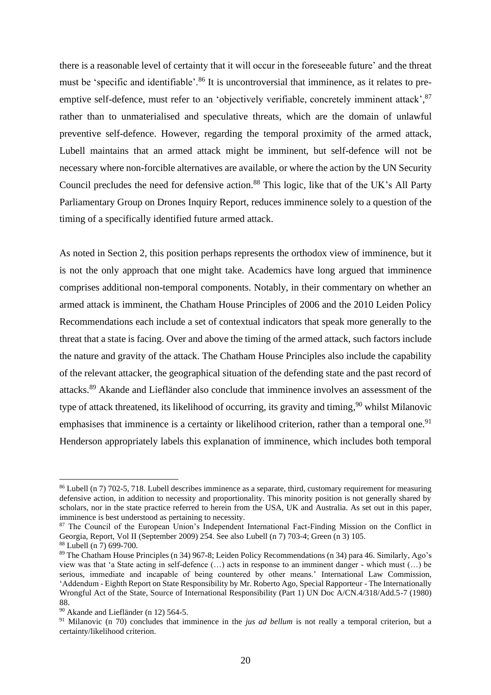there is a reasonable level of certainty that it will occur in the foreseeable future' and the threat must be 'specific and identifiable'.<sup>86</sup> It is uncontroversial that imminence, as it relates to preemptive self-defence, must refer to an 'objectively verifiable, concretely imminent attack',  $87$ rather than to unmaterialised and speculative threats, which are the domain of unlawful preventive self-defence. However, regarding the temporal proximity of the armed attack, Lubell maintains that an armed attack might be imminent, but self-defence will not be necessary where non-forcible alternatives are available, or where the action by the UN Security Council precludes the need for defensive action.<sup>88</sup> This logic, like that of the UK's All Party Parliamentary Group on Drones Inquiry Report, reduces imminence solely to a question of the timing of a specifically identified future armed attack.

As noted in Section 2, this position perhaps represents the orthodox view of imminence, but it is not the only approach that one might take. Academics have long argued that imminence comprises additional non-temporal components. Notably, in their commentary on whether an armed attack is imminent, the Chatham House Principles of 2006 and the 2010 Leiden Policy Recommendations each include a set of contextual indicators that speak more generally to the threat that a state is facing. Over and above the timing of the armed attack, such factors include the nature and gravity of the attack. The Chatham House Principles also include the capability of the relevant attacker, the geographical situation of the defending state and the past record of attacks.<sup>89</sup> Akande and Liefländer also conclude that imminence involves an assessment of the type of attack threatened, its likelihood of occurring, its gravity and timing,  $90$  whilst Milanovic emphasises that imminence is a certainty or likelihood criterion, rather than a temporal one.<sup>91</sup> Henderson appropriately labels this explanation of imminence, which includes both temporal

<sup>86</sup> Lubell (n 7) 702-5, 718. Lubell describes imminence as a separate, third, customary requirement for measuring defensive action, in addition to necessity and proportionality. This minority position is not generally shared by scholars, nor in the state practice referred to herein from the USA, UK and Australia. As set out in this paper, imminence is best understood as pertaining to necessity.

<sup>87</sup> The Council of the European Union's Independent International Fact-Finding Mission on the Conflict in Georgia, Report, Vol II (September 2009) 254. See also Lubell (n 7) 703-4; Green (n 3) 105. <sup>88</sup> Lubell (n 7) 699-700.

<sup>89</sup> The Chatham House Principles (n 34) 967-8; Leiden Policy Recommendations (n 34) para 46. Similarly, Ago's view was that 'a State acting in self-defence (…) acts in response to an imminent danger - which must (…) be serious, immediate and incapable of being countered by other means.' International Law Commission, 'Addendum - Eighth Report on State Responsibility by Mr. Roberto Ago, Special Rapporteur - The Internationally Wrongful Act of the State, Source of International Responsibility (Part 1) UN Doc A/CN.4/318/Add.5-7 (1980) 88.

<sup>90</sup> Akande and Liefländer (n 12) 564-5.

<sup>&</sup>lt;sup>91</sup> Milanovic (n 70) concludes that imminence in the *jus ad bellum* is not really a temporal criterion, but a certainty/likelihood criterion.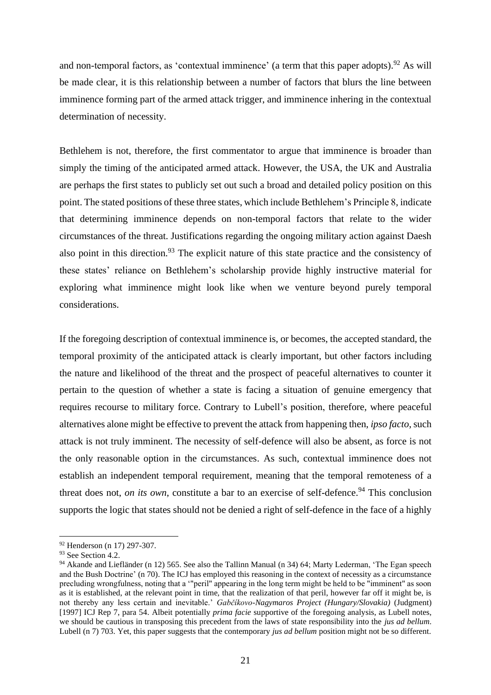and non-temporal factors, as 'contextual imminence' (a term that this paper adopts).<sup>92</sup> As will be made clear, it is this relationship between a number of factors that blurs the line between imminence forming part of the armed attack trigger, and imminence inhering in the contextual determination of necessity.

Bethlehem is not, therefore, the first commentator to argue that imminence is broader than simply the timing of the anticipated armed attack. However, the USA, the UK and Australia are perhaps the first states to publicly set out such a broad and detailed policy position on this point. The stated positions of these three states, which include Bethlehem's Principle 8, indicate that determining imminence depends on non-temporal factors that relate to the wider circumstances of the threat. Justifications regarding the ongoing military action against Daesh also point in this direction.<sup>93</sup> The explicit nature of this state practice and the consistency of these states' reliance on Bethlehem's scholarship provide highly instructive material for exploring what imminence might look like when we venture beyond purely temporal considerations.

If the foregoing description of contextual imminence is, or becomes, the accepted standard, the temporal proximity of the anticipated attack is clearly important, but other factors including the nature and likelihood of the threat and the prospect of peaceful alternatives to counter it pertain to the question of whether a state is facing a situation of genuine emergency that requires recourse to military force. Contrary to Lubell's position, therefore, where peaceful alternatives alone might be effective to prevent the attack from happening then, *ipso facto*, such attack is not truly imminent. The necessity of self-defence will also be absent, as force is not the only reasonable option in the circumstances. As such, contextual imminence does not establish an independent temporal requirement, meaning that the temporal remoteness of a threat does not, *on its own*, constitute a bar to an exercise of self-defence.<sup>94</sup> This conclusion supports the logic that states should not be denied a right of self-defence in the face of a highly

<sup>92</sup> Henderson (n 17) 297-307.

<sup>&</sup>lt;sup>93</sup> See Section [4.2.](#page--1-1)

<sup>&</sup>lt;sup>94</sup> Akande and Liefländer (n 12) 565. See also the Tallinn Manual (n 34) 64; Marty Lederman, 'The Egan speech and the Bush Doctrine' (n 70). The ICJ has employed this reasoning in the context of necessity as a circumstance precluding wrongfulness, noting that a '"peril" appearing in the long term might be held to be "imminent" as soon as it is established, at the relevant point in time, that the realization of that peril, however far off it might be, is not thereby any less certain and inevitable.' *Gabčíkovo-Nagymaros Project (Hungary/Slovakia)* (Judgment) [1997] ICJ Rep 7, para 54. Albeit potentially *prima facie* supportive of the foregoing analysis, as Lubell notes, we should be cautious in transposing this precedent from the laws of state responsibility into the *jus ad bellum*. Lubell (n 7) 703. Yet, this paper suggests that the contemporary *jus ad bellum* position might not be so different.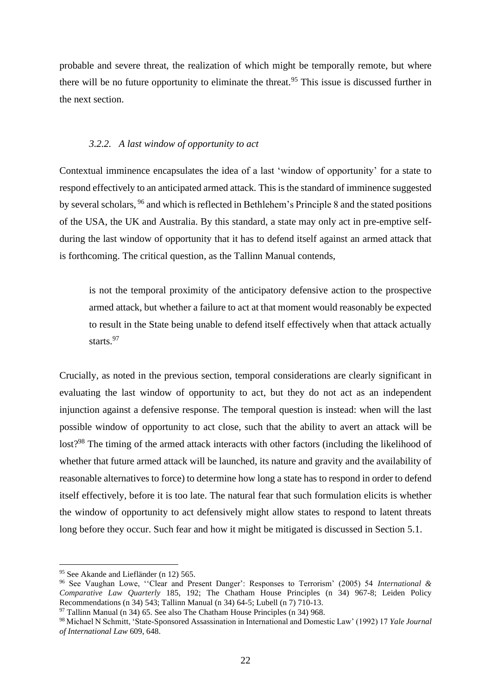probable and severe threat, the realization of which might be temporally remote, but where there will be no future opportunity to eliminate the threat.<sup>95</sup> This issue is discussed further in the next section.

#### *3.2.2. A last window of opportunity to act*

Contextual imminence encapsulates the idea of a last 'window of opportunity' for a state to respond effectively to an anticipated armed attack. This is the standard of imminence suggested by several scholars, <sup>96</sup> and which is reflected in Bethlehem's Principle 8 and the stated positions of the USA, the UK and Australia. By this standard, a state may only act in pre-emptive selfduring the last window of opportunity that it has to defend itself against an armed attack that is forthcoming. The critical question, as the Tallinn Manual contends,

is not the temporal proximity of the anticipatory defensive action to the prospective armed attack, but whether a failure to act at that moment would reasonably be expected to result in the State being unable to defend itself effectively when that attack actually starts.<sup>97</sup>

Crucially, as noted in the previous section, temporal considerations are clearly significant in evaluating the last window of opportunity to act, but they do not act as an independent injunction against a defensive response. The temporal question is instead: when will the last possible window of opportunity to act close, such that the ability to avert an attack will be lost?<sup>98</sup> The timing of the armed attack interacts with other factors (including the likelihood of whether that future armed attack will be launched, its nature and gravity and the availability of reasonable alternatives to force) to determine how long a state has to respond in order to defend itself effectively, before it is too late. The natural fear that such formulation elicits is whether the window of opportunity to act defensively might allow states to respond to latent threats long before they occur. Such fear and how it might be mitigated is discussed in Section 5.1.

<sup>95</sup> See Akande and Liefländer (n 12) 565.

<sup>96</sup> See Vaughan Lowe, ''Clear and Present Danger': Responses to Terrorism' (2005) 54 *International & Comparative Law Quarterly* 185, 192; The Chatham House Principles (n 34) 967-8; Leiden Policy Recommendations (n 34) 543; Tallinn Manual (n 34) 64-5; Lubell (n 7) 710-13.

 $97$  Tallinn Manual (n 34) 65. See also The Chatham House Principles (n 34) 968.

<sup>98</sup> Michael N Schmitt, 'State-Sponsored Assassination in International and Domestic Law' (1992) 17 *Yale Journal of International Law* 609, 648.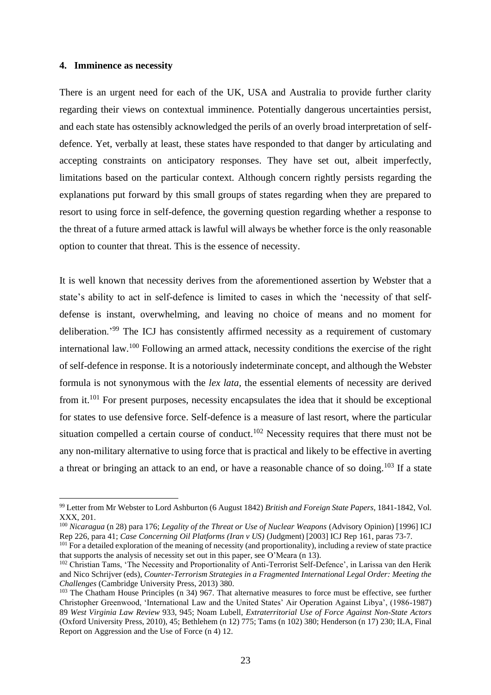#### **4. Imminence as necessity**

There is an urgent need for each of the UK, USA and Australia to provide further clarity regarding their views on contextual imminence. Potentially dangerous uncertainties persist, and each state has ostensibly acknowledged the perils of an overly broad interpretation of selfdefence. Yet, verbally at least, these states have responded to that danger by articulating and accepting constraints on anticipatory responses. They have set out, albeit imperfectly, limitations based on the particular context. Although concern rightly persists regarding the explanations put forward by this small groups of states regarding when they are prepared to resort to using force in self-defence, the governing question regarding whether a response to the threat of a future armed attack is lawful will always be whether force is the only reasonable option to counter that threat. This is the essence of necessity.

It is well known that necessity derives from the aforementioned assertion by Webster that a state's ability to act in self-defence is limited to cases in which the 'necessity of that selfdefense is instant, overwhelming, and leaving no choice of means and no moment for deliberation.'<sup>99</sup> The ICJ has consistently affirmed necessity as a requirement of customary international law.<sup>100</sup> Following an armed attack, necessity conditions the exercise of the right of self-defence in response. It is a notoriously indeterminate concept, and although the Webster formula is not synonymous with the *lex lata,* the essential elements of necessity are derived from it.<sup>101</sup> For present purposes, necessity encapsulates the idea that it should be exceptional for states to use defensive force. Self-defence is a measure of last resort, where the particular situation compelled a certain course of conduct.<sup>102</sup> Necessity requires that there must not be any non-military alternative to using force that is practical and likely to be effective in averting a threat or bringing an attack to an end, or have a reasonable chance of so doing.<sup>103</sup> If a state

<sup>99</sup> Letter from Mr Webster to Lord Ashburton (6 August 1842) *British and Foreign State Papers*, 1841-1842, Vol. XXX, 201.

<sup>100</sup> *Nicaragua* (n 28) para 176; *Legality of the Threat or Use of Nuclear Weapons* (Advisory Opinion) [1996] ICJ Rep 226, para 41; *Case Concerning Oil Platforms (Iran v US)* (Judgment) [2003] ICJ Rep 161, paras 73-7.

<sup>&</sup>lt;sup>101</sup> For a detailed exploration of the meaning of necessity (and proportionality), including a review of state practice that supports the analysis of necessity set out in this paper, see O'Meara (n 13).

<sup>&</sup>lt;sup>102</sup> Christian Tams, 'The Necessity and Proportionality of Anti-Terrorist Self-Defence', in Larissa van den Herik and Nico Schrijver (eds), *Counter-Terrorism Strategies in a Fragmented International Legal Order: Meeting the Challenges* (Cambridge University Press, 2013) 380.

<sup>&</sup>lt;sup>103</sup> The Chatham House Principles (n 34) 967. That alternative measures to force must be effective, see further Christopher Greenwood, 'International Law and the United States' Air Operation Against Libya', (1986-1987) 89 *West Virginia Law Review* 933, 945; Noam Lubell, *Extraterritorial Use of Force Against Non-State Actors* (Oxford University Press, 2010), 45; Bethlehem (n 12) 775; Tams (n 102) 380; Henderson (n 17) 230; ILA, Final Report on Aggression and the Use of Force (n 4) 12.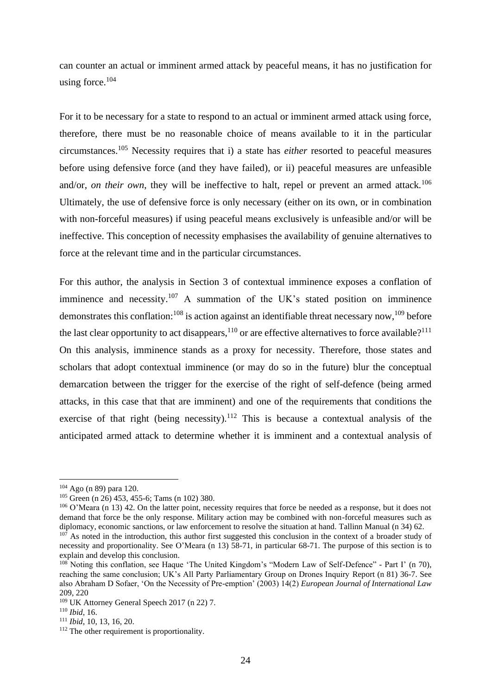can counter an actual or imminent armed attack by peaceful means, it has no justification for using force. 104

For it to be necessary for a state to respond to an actual or imminent armed attack using force, therefore, there must be no reasonable choice of means available to it in the particular circumstances.<sup>105</sup> Necessity requires that i) a state has *either* resorted to peaceful measures before using defensive force (and they have failed), or ii) peaceful measures are unfeasible and/or, *on their own*, they will be ineffective to halt, repel or prevent an armed attack.<sup>106</sup> Ultimately, the use of defensive force is only necessary (either on its own, or in combination with non-forceful measures) if using peaceful means exclusively is unfeasible and/or will be ineffective. This conception of necessity emphasises the availability of genuine alternatives to force at the relevant time and in the particular circumstances.

For this author, the analysis in Section 3 of contextual imminence exposes a conflation of imminence and necessity.<sup>107</sup> A summation of the UK's stated position on imminence demonstrates this conflation:<sup>108</sup> is action against an identifiable threat necessary now,<sup>109</sup> before the last clear opportunity to act disappears,  $110$  or are effective alternatives to force available?<sup>111</sup> On this analysis, imminence stands as a proxy for necessity. Therefore, those states and scholars that adopt contextual imminence (or may do so in the future) blur the conceptual demarcation between the trigger for the exercise of the right of self-defence (being armed attacks, in this case that that are imminent) and one of the requirements that conditions the exercise of that right (being necessity).<sup>112</sup> This is because a contextual analysis of the anticipated armed attack to determine whether it is imminent and a contextual analysis of

<sup>104</sup> Ago (n 89) para 120.

<sup>105</sup> Green (n 26) 453, 455-6; Tams (n 102) 380.

<sup>&</sup>lt;sup>106</sup> O'Meara (n 13) 42. On the latter point, necessity requires that force be needed as a response, but it does not demand that force be the only response. Military action may be combined with non-forceful measures such as diplomacy, economic sanctions, or law enforcement to resolve the situation at hand. Tallinn Manual (n 34) 62.

<sup>&</sup>lt;sup>107</sup> As noted in the introduction, this author first suggested this conclusion in the context of a broader study of necessity and proportionality. See O'Meara (n 13) 58-71, in particular 68-71. The purpose of this section is to explain and develop this conclusion.

<sup>&</sup>lt;sup>108</sup> Noting this conflation, see Haque 'The United Kingdom's "Modern Law of Self-Defence" - Part I' (n 70), reaching the same conclusion; UK's All Party Parliamentary Group on Drones Inquiry Report (n 81) 36-7. See also Abraham D Sofaer, 'On the Necessity of Pre-emption' (2003) 14(2) *European Journal of International Law* 209, 220

<sup>109</sup> UK Attorney General Speech 2017 (n 22) 7.

<sup>110</sup> *Ibid*, 16.

<sup>111</sup> *Ibid*, 10, 13, 16, 20.

<sup>&</sup>lt;sup>112</sup> The other requirement is proportionality.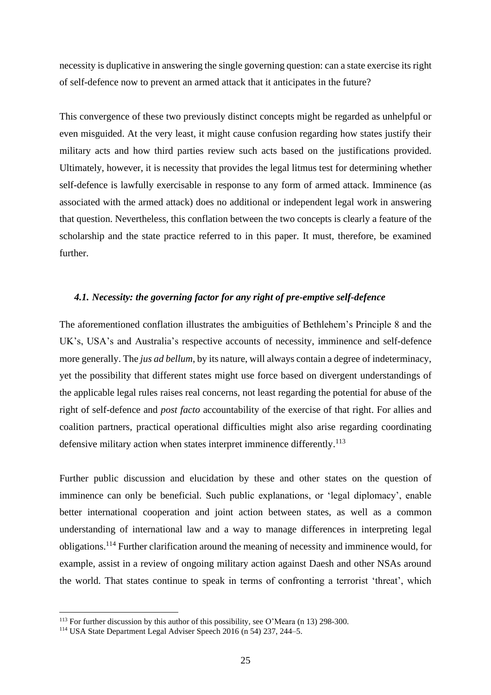necessity is duplicative in answering the single governing question: can a state exercise its right of self-defence now to prevent an armed attack that it anticipates in the future?

This convergence of these two previously distinct concepts might be regarded as unhelpful or even misguided. At the very least, it might cause confusion regarding how states justify their military acts and how third parties review such acts based on the justifications provided. Ultimately, however, it is necessity that provides the legal litmus test for determining whether self-defence is lawfully exercisable in response to any form of armed attack. Imminence (as associated with the armed attack) does no additional or independent legal work in answering that question. Nevertheless, this conflation between the two concepts is clearly a feature of the scholarship and the state practice referred to in this paper. It must, therefore, be examined further.

#### *4.1. Necessity: the governing factor for any right of pre-emptive self-defence*

The aforementioned conflation illustrates the ambiguities of Bethlehem's Principle 8 and the UK's, USA's and Australia's respective accounts of necessity, imminence and self-defence more generally. The *jus ad bellum*, by its nature, will always contain a degree of indeterminacy, yet the possibility that different states might use force based on divergent understandings of the applicable legal rules raises real concerns, not least regarding the potential for abuse of the right of self-defence and *post facto* accountability of the exercise of that right. For allies and coalition partners, practical operational difficulties might also arise regarding coordinating defensive military action when states interpret imminence differently.<sup>113</sup>

Further public discussion and elucidation by these and other states on the question of imminence can only be beneficial. Such public explanations, or 'legal diplomacy', enable better international cooperation and joint action between states, as well as a common understanding of international law and a way to manage differences in interpreting legal obligations.<sup>114</sup> Further clarification around the meaning of necessity and imminence would, for example, assist in a review of ongoing military action against Daesh and other NSAs around the world. That states continue to speak in terms of confronting a terrorist 'threat', which

<sup>113</sup> For further discussion by this author of this possibility, see O'Meara (n 13) 298-300.

<sup>114</sup> USA State Department Legal Adviser Speech 2016 (n 54) 237, 244–5.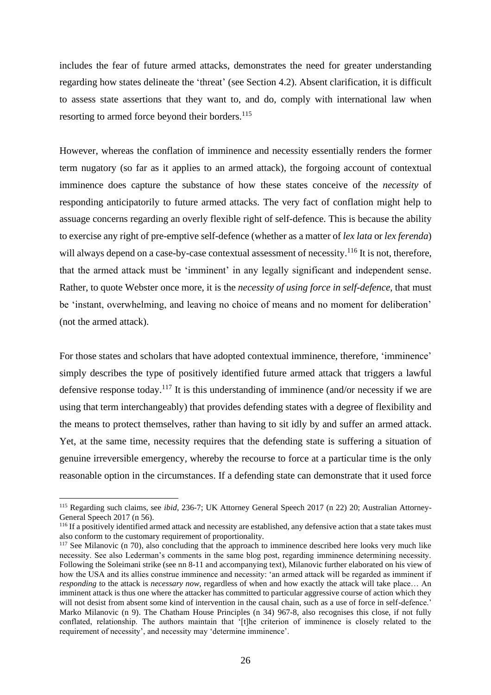includes the fear of future armed attacks, demonstrates the need for greater understanding regarding how states delineate the 'threat' (see Section 4.2). Absent clarification, it is difficult to assess state assertions that they want to, and do, comply with international law when resorting to armed force beyond their borders.<sup>115</sup>

However, whereas the conflation of imminence and necessity essentially renders the former term nugatory (so far as it applies to an armed attack), the forgoing account of contextual imminence does capture the substance of how these states conceive of the *necessity* of responding anticipatorily to future armed attacks. The very fact of conflation might help to assuage concerns regarding an overly flexible right of self-defence. This is because the ability to exercise any right of pre-emptive self-defence (whether as a matter of *lex lata* or *lex ferenda*) will always depend on a case-by-case contextual assessment of necessity.<sup>116</sup> It is not, therefore, that the armed attack must be 'imminent' in any legally significant and independent sense. Rather, to quote Webster once more, it is the *necessity of using force in self-defence*, that must be 'instant, overwhelming, and leaving no choice of means and no moment for deliberation' (not the armed attack).

For those states and scholars that have adopted contextual imminence, therefore, 'imminence' simply describes the type of positively identified future armed attack that triggers a lawful defensive response today.<sup>117</sup> It is this understanding of imminence (and/or necessity if we are using that term interchangeably) that provides defending states with a degree of flexibility and the means to protect themselves, rather than having to sit idly by and suffer an armed attack. Yet, at the same time, necessity requires that the defending state is suffering a situation of genuine irreversible emergency, whereby the recourse to force at a particular time is the only reasonable option in the circumstances. If a defending state can demonstrate that it used force

<sup>&</sup>lt;sup>115</sup> Regarding such claims, see *ibid*, 236-7; UK Attorney General Speech 2017 (n 22) 20; Australian Attorney-General Speech 2017 (n 56).

<sup>&</sup>lt;sup>116</sup> If a positively identified armed attack and necessity are established, any defensive action that a state takes must also conform to the customary requirement of proportionality.

<sup>&</sup>lt;sup>117</sup> See Milanovic (n 70), also concluding that the approach to imminence described here looks very much like necessity. See also Lederman's comments in the same blog post, regarding imminence determining necessity. Following the Soleimani strike (see nn 8-11 and accompanying text), Milanovic further elaborated on his view of how the USA and its allies construe imminence and necessity: 'an armed attack will be regarded as imminent if *responding* to the attack is *necessary now*, regardless of when and how exactly the attack will take place… An imminent attack is thus one where the attacker has committed to particular aggressive course of action which they will not desist from absent some kind of intervention in the causal chain, such as a use of force in self-defence.' Marko Milanovic (n 9). The Chatham House Principles (n 34) 967-8, also recognises this close, if not fully conflated, relationship. The authors maintain that '[t]he criterion of imminence is closely related to the requirement of necessity', and necessity may 'determine imminence'.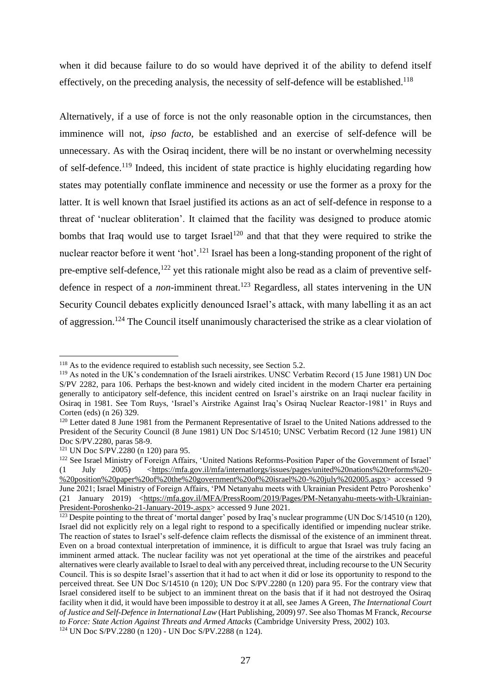when it did because failure to do so would have deprived it of the ability to defend itself effectively, on the preceding analysis, the necessity of self-defence will be established.<sup>118</sup>

Alternatively, if a use of force is not the only reasonable option in the circumstances, then imminence will not, *ipso facto*, be established and an exercise of self-defence will be unnecessary. As with the Osiraq incident, there will be no instant or overwhelming necessity of self-defence.<sup>119</sup> Indeed, this incident of state practice is highly elucidating regarding how states may potentially conflate imminence and necessity or use the former as a proxy for the latter. It is well known that Israel justified its actions as an act of self-defence in response to a threat of 'nuclear obliteration'. It claimed that the facility was designed to produce atomic bombs that Iraq would use to target Israel<sup>120</sup> and that that they were required to strike the nuclear reactor before it went 'hot'.<sup>121</sup> Israel has been a long-standing proponent of the right of pre-emptive self-defence, $122$  yet this rationale might also be read as a claim of preventive selfdefence in respect of a *non*-imminent threat.<sup>123</sup> Regardless, all states intervening in the UN Security Council debates explicitly denounced Israel's attack, with many labelling it as an act of aggression.<sup>124</sup> The Council itself unanimously characterised the strike as a clear violation of

<sup>&</sup>lt;sup>118</sup> As to the evidence required to establish such necessity, see Section [5.2.](#page--1-2)

<sup>119</sup> As noted in the UK's condemnation of the Israeli airstrikes. UNSC Verbatim Record (15 June 1981) UN Doc S/PV 2282, para 106. Perhaps the best-known and widely cited incident in the modern Charter era pertaining generally to anticipatory self-defence, this incident centred on Israel's airstrike on an Iraqi nuclear facility in Osiraq in 1981. See Tom Ruys, 'Israel's Airstrike Against Iraq's Osiraq Nuclear Reactor-1981' in Ruys and Corten (eds) (n 26) 329.

<sup>&</sup>lt;sup>120</sup> Letter dated 8 June 1981 from the Permanent Representative of Israel to the United Nations addressed to the President of the Security Council (8 June 1981) UN Doc S/14510; UNSC Verbatim Record (12 June 1981) UN Doc S/PV.2280, paras 58-9.

<sup>121</sup> UN Doc S/PV.2280 (n 120) para 95.

<sup>&</sup>lt;sup>122</sup> See Israel Ministry of Foreign Affairs, 'United Nations Reforms-Position Paper of the Government of Israel' (1 July 2005) *<*[https://mfa.gov.il/mfa/internatlorgs/issues/pages/united%20nations%20reforms%20-](https://mfa.gov.il/mfa/internatlorgs/issues/pages/united%20nations%20reforms%20-%20position%20paper%20of%20the%20government%20of%20israel%20-%20july%202005.aspx) [%20position%20paper%20of%20the%20government%20of%20israel%20-%20july%202005.aspx>](https://mfa.gov.il/mfa/internatlorgs/issues/pages/united%20nations%20reforms%20-%20position%20paper%20of%20the%20government%20of%20israel%20-%20july%202005.aspx) accessed 9 June 2021; Israel Ministry of Foreign Affairs, 'PM Netanyahu meets with Ukrainian President Petro Poroshenko' (21 January 2019) [<https://mfa.gov.il/MFA/PressRoom/2019/Pages/PM-Netanyahu-meets-with-Ukrainian-](https://mfa.gov.il/MFA/PressRoom/2019/Pages/PM-Netanyahu-meets-with-Ukrainian-President-Poroshenko-21-January-2019-.aspx)[President-Poroshenko-21-January-2019-.aspx>](https://mfa.gov.il/MFA/PressRoom/2019/Pages/PM-Netanyahu-meets-with-Ukrainian-President-Poroshenko-21-January-2019-.aspx) accessed 9 June 2021.

<sup>&</sup>lt;sup>123</sup> Despite pointing to the threat of 'mortal danger' posed by Iraq's nuclear programme (UN Doc S/14510 (n 120), Israel did not explicitly rely on a legal right to respond to a specifically identified or impending nuclear strike. The reaction of states to Israel's self-defence claim reflects the dismissal of the existence of an imminent threat. Even on a broad contextual interpretation of imminence, it is difficult to argue that Israel was truly facing an imminent armed attack. The nuclear facility was not yet operational at the time of the airstrikes and peaceful alternatives were clearly available to Israel to deal with any perceived threat, including recourse to the UN Security Council. This is so despite Israel's assertion that it had to act when it did or lose its opportunity to respond to the perceived threat. See UN Doc S/14510 (n 120); UN Doc S/PV.2280 (n 120) para 95. For the contrary view that Israel considered itself to be subject to an imminent threat on the basis that if it had not destroyed the Osiraq facility when it did, it would have been impossible to destroy it at all, see James A Green, *The International Court of Justice and Self-Defence in International Law* (Hart Publishing, 2009) 97. See also Thomas M Franck, *Recourse to Force: State Action Against Threats and Armed Attacks* (Cambridge University Press, 2002) 103. <sup>124</sup> UN Doc S/PV.2280 (n 120) - UN Doc S/PV.2288 (n 124).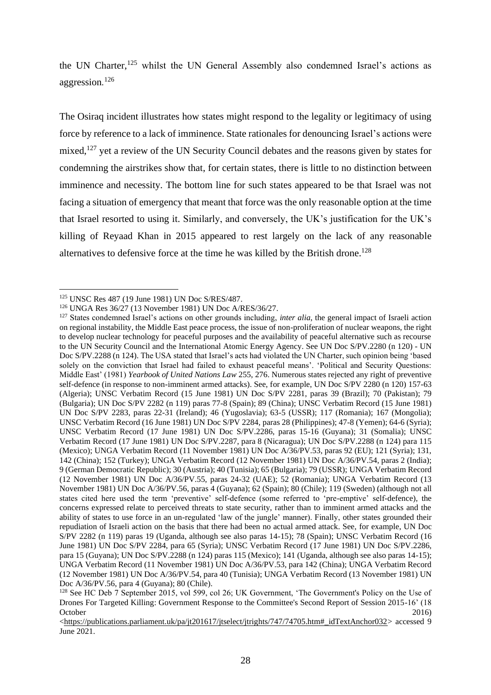the UN Charter,<sup>125</sup> whilst the UN General Assembly also condemned Israel's actions as aggression*.* 126

The Osiraq incident illustrates how states might respond to the legality or legitimacy of using force by reference to a lack of imminence. State rationales for denouncing Israel's actions were mixed, $127$  yet a review of the UN Security Council debates and the reasons given by states for condemning the airstrikes show that, for certain states, there is little to no distinction between imminence and necessity. The bottom line for such states appeared to be that Israel was not facing a situation of emergency that meant that force was the only reasonable option at the time that Israel resorted to using it. Similarly, and conversely, the UK's justification for the UK's killing of Reyaad Khan in 2015 appeared to rest largely on the lack of any reasonable alternatives to defensive force at the time he was killed by the British drone.<sup>128</sup>

<sup>125</sup> UNSC Res 487 (19 June 1981) UN Doc S/RES/487.

<sup>126</sup> UNGA Res 36/27 (13 November 1981) UN Doc A/RES/36/27.

<sup>127</sup> States condemned Israel's actions on other grounds including, *inter alia*, the general impact of Israeli action on regional instability, the Middle East peace process, the issue of non-proliferation of nuclear weapons, the right to develop nuclear technology for peaceful purposes and the availability of peaceful alternative such as recourse to the UN Security Council and the International Atomic Energy Agency. See UN Doc S/PV.2280 (n 120) - UN Doc S/PV.2288 (n 124). The USA stated that Israel's acts had violated the UN Charter, such opinion being 'based solely on the conviction that Israel had failed to exhaust peaceful means'. 'Political and Security Questions: Middle East' (1981) *Yearbook of United Nations Law* 255, 276. Numerous states rejected any right of preventive self-defence (in response to non-imminent armed attacks). See, for example, UN Doc S/PV 2280 (n 120) 157-63 (Algeria); UNSC Verbatim Record (15 June 1981) UN Doc S/PV 2281, paras 39 (Brazil); 70 (Pakistan); 79 (Bulgaria); UN Doc S/PV 2282 (n 119) paras 77-8 (Spain); 89 (China); UNSC Verbatim Record (15 June 1981) UN Doc S/PV 2283, paras 22-31 (Ireland); 46 (Yugoslavia); 63-5 (USSR); 117 (Romania); 167 (Mongolia); UNSC Verbatim Record (16 June 1981) UN Doc S/PV 2284, paras 28 (Philippines); 47-8 (Yemen); 64-6 (Syria); UNSC Verbatim Record (17 June 1981) UN Doc S/PV.2286, paras 15-16 (Guyana); 31 (Somalia); UNSC Verbatim Record (17 June 1981) UN Doc S/PV.2287, para 8 (Nicaragua); UN Doc S/PV.2288 (n 124) para 115 (Mexico); UNGA Verbatim Record (11 November 1981) UN Doc A/36/PV.53, paras 92 (EU); 121 (Syria); 131, 142 (China); 152 (Turkey); UNGA Verbatim Record (12 November 1981) UN Doc A/36/PV.54, paras 2 (India); 9 (German Democratic Republic); 30 (Austria); 40 (Tunisia); 65 (Bulgaria); 79 (USSR); UNGA Verbatim Record (12 November 1981) UN Doc A/36/PV.55, paras 24-32 (UAE); 52 (Romania); UNGA Verbatim Record (13 November 1981) UN Doc A/36/PV.56, paras 4 (Guyana); 62 (Spain); 80 (Chile); 119 (Sweden) (although not all states cited here used the term 'preventive' self-defence (some referred to 'pre-emptive' self-defence), the concerns expressed relate to perceived threats to state security, rather than to imminent armed attacks and the ability of states to use force in an un-regulated 'law of the jungle' manner). Finally, other states grounded their repudiation of Israeli action on the basis that there had been no actual armed attack. See, for example, UN Doc S/PV 2282 (n 119) paras 19 (Uganda, although see also paras 14-15); 78 (Spain); UNSC Verbatim Record (16 June 1981) UN Doc S/PV 2284, para 65 (Syria); UNSC Verbatim Record (17 June 1981) UN Doc S/PV.2286, para 15 (Guyana); UN Doc S/PV.2288 (n 124) paras 115 (Mexico); 141 (Uganda, although see also paras 14-15); UNGA Verbatim Record (11 November 1981) UN Doc A/36/PV.53, para 142 (China); UNGA Verbatim Record (12 November 1981) UN Doc A/36/PV.54, para 40 (Tunisia); UNGA Verbatim Record (13 November 1981) UN Doc A/36/PV.56, para 4 (Guyana); 80 (Chile).

<sup>128</sup> See HC Deb 7 September 2015, vol 599, col 26; UK Government, 'The Government's Policy on the Use of Drones For Targeted Killing: Government Response to the Committee's Second Report of Session 2015-16' (18 October 2016)

[<sup>&</sup>lt;https://publications.parliament.uk/pa/jt201617/jtselect/jtrights/747/74705.htm#\\_idTextAnchor032>](https://publications.parliament.uk/pa/jt201617/jtselect/jtrights/747/74705.htm#_idTextAnchor032) accessed 9 June 2021.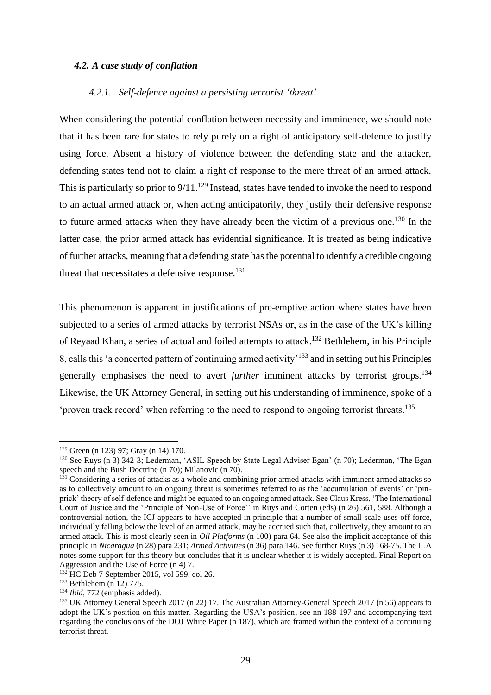# *4.2. A case study of conflation*

# *4.2.1. Self-defence against a persisting terrorist 'threat'*

When considering the potential conflation between necessity and imminence, we should note that it has been rare for states to rely purely on a right of anticipatory self-defence to justify using force. Absent a history of violence between the defending state and the attacker, defending states tend not to claim a right of response to the mere threat of an armed attack. This is particularly so prior to  $9/11$ .<sup>129</sup> Instead, states have tended to invoke the need to respond to an actual armed attack or, when acting anticipatorily, they justify their defensive response to future armed attacks when they have already been the victim of a previous one.<sup>130</sup> In the latter case, the prior armed attack has evidential significance. It is treated as being indicative of further attacks, meaning that a defending state has the potential to identify a credible ongoing threat that necessitates a defensive response.<sup>131</sup>

This phenomenon is apparent in justifications of pre-emptive action where states have been subjected to a series of armed attacks by terrorist NSAs or, as in the case of the UK's killing of Reyaad Khan, a series of actual and foiled attempts to attack.<sup>132</sup> Bethlehem, in his Principle 8, calls this 'a concerted pattern of continuing armed activity'<sup>133</sup> and in setting out his Principles generally emphasises the need to avert *further* imminent attacks by terrorist groups.<sup>134</sup> Likewise, the UK Attorney General, in setting out his understanding of imminence, spoke of a 'proven track record' when referring to the need to respond to ongoing terrorist threats.<sup>135</sup>

<sup>129</sup> Green (n 123) 97; Gray (n 14) 170.

<sup>130</sup> See Ruys (n 3) 342-3; Lederman, 'ASIL Speech by State Legal Adviser Egan' (n 70); Lederman, 'The Egan speech and the Bush Doctrine (n 70); Milanovic (n 70).

<sup>&</sup>lt;sup>131</sup> Considering a series of attacks as a whole and combining prior armed attacks with imminent armed attacks so as to collectively amount to an ongoing threat is sometimes referred to as the 'accumulation of events' or 'pinprick' theory of self-defence and might be equated to an ongoing armed attack. See Claus Kress, 'The International Court of Justice and the 'Principle of Non-Use of Force'' in Ruys and Corten (eds) (n 26) 561, 588. Although a controversial notion, the ICJ appears to have accepted in principle that a number of small-scale uses off force, individually falling below the level of an armed attack, may be accrued such that, collectively, they amount to an armed attack. This is most clearly seen in *Oil Platforms* (n 100) para 64. See also the implicit acceptance of this principle in *Nicaragua* (n 28) para 231; *Armed Activities* (n 36) para 146. See further Ruys (n 3) 168-75. The ILA notes some support for this theory but concludes that it is unclear whether it is widely accepted. Final Report on Aggression and the Use of Force (n 4) 7.

<sup>132</sup> HC Deb 7 September 2015, vol 599, col 26.

<sup>133</sup> Bethlehem (n 12) 775.

<sup>134</sup> *Ibid*, 772 (emphasis added).

<sup>135</sup> UK Attorney General Speech 2017 (n 22) 17. The Australian Attorney-General Speech 2017 (n 56) appears to adopt the UK's position on this matter. Regarding the USA's position, see nn 188-197 and accompanying text regarding the conclusions of the DOJ White Paper (n 187), which are framed within the context of a continuing terrorist threat.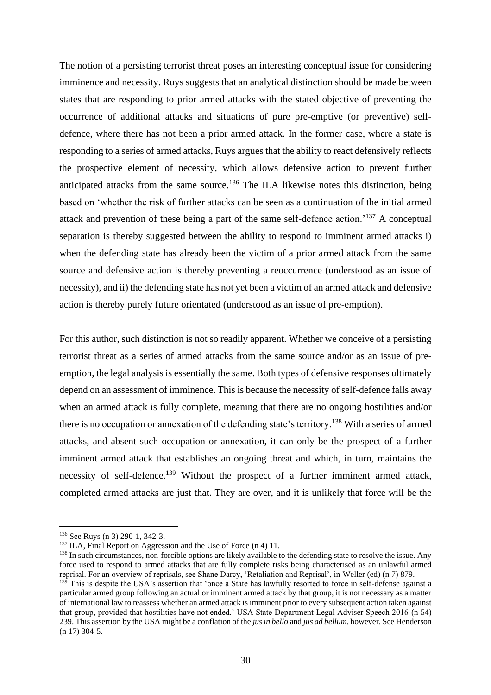The notion of a persisting terrorist threat poses an interesting conceptual issue for considering imminence and necessity. Ruys suggests that an analytical distinction should be made between states that are responding to prior armed attacks with the stated objective of preventing the occurrence of additional attacks and situations of pure pre-emptive (or preventive) selfdefence, where there has not been a prior armed attack. In the former case, where a state is responding to a series of armed attacks, Ruys argues that the ability to react defensively reflects the prospective element of necessity, which allows defensive action to prevent further anticipated attacks from the same source.<sup>136</sup> The ILA likewise notes this distinction, being based on 'whether the risk of further attacks can be seen as a continuation of the initial armed attack and prevention of these being a part of the same self-defence action.'<sup>137</sup> A conceptual separation is thereby suggested between the ability to respond to imminent armed attacks i) when the defending state has already been the victim of a prior armed attack from the same source and defensive action is thereby preventing a reoccurrence (understood as an issue of necessity), and ii) the defending state has not yet been a victim of an armed attack and defensive action is thereby purely future orientated (understood as an issue of pre-emption).

For this author, such distinction is not so readily apparent. Whether we conceive of a persisting terrorist threat as a series of armed attacks from the same source and/or as an issue of preemption, the legal analysis is essentially the same. Both types of defensive responses ultimately depend on an assessment of imminence. This is because the necessity of self-defence falls away when an armed attack is fully complete, meaning that there are no ongoing hostilities and/or there is no occupation or annexation of the defending state's territory.<sup>138</sup> With a series of armed attacks, and absent such occupation or annexation, it can only be the prospect of a further imminent armed attack that establishes an ongoing threat and which, in turn, maintains the necessity of self-defence.<sup>139</sup> Without the prospect of a further imminent armed attack, completed armed attacks are just that. They are over, and it is unlikely that force will be the

<sup>136</sup> See Ruys (n 3) 290-1, 342-3.

<sup>&</sup>lt;sup>137</sup> ILA, Final Report on Aggression and the Use of Force (n 4) 11.

<sup>&</sup>lt;sup>138</sup> In such circumstances, non-forcible options are likely available to the defending state to resolve the issue. Any force used to respond to armed attacks that are fully complete risks being characterised as an unlawful armed reprisal. For an overview of reprisals, see Shane Darcy, 'Retaliation and Reprisal', in Weller (ed) (n 7) 879.

<sup>&</sup>lt;sup>139</sup> This is despite the USA's assertion that 'once a State has lawfully resorted to force in self-defense against a particular armed group following an actual or imminent armed attack by that group, it is not necessary as a matter of international law to reassess whether an armed attack is imminent prior to every subsequent action taken against that group, provided that hostilities have not ended.' USA State Department Legal Adviser Speech 2016 (n 54) 239. This assertion by the USA might be a conflation of the *jus in bello* and *jus ad bellum*, however. See Henderson (n 17) 304-5.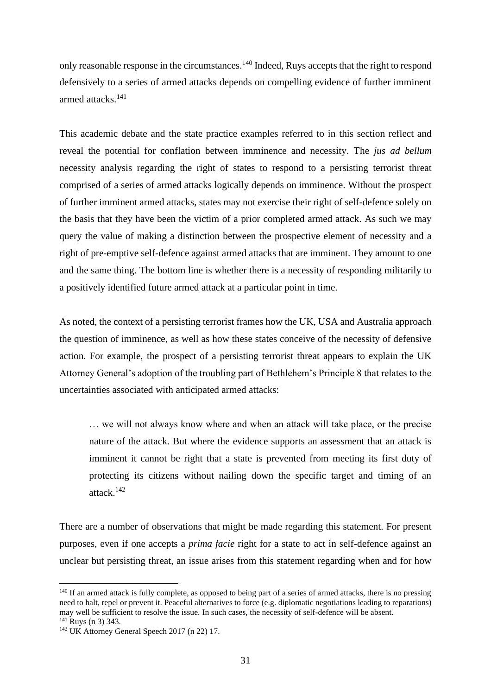only reasonable response in the circumstances.<sup>140</sup> Indeed, Ruys accepts that the right to respond defensively to a series of armed attacks depends on compelling evidence of further imminent armed attacks.<sup>141</sup>

This academic debate and the state practice examples referred to in this section reflect and reveal the potential for conflation between imminence and necessity. The *jus ad bellum* necessity analysis regarding the right of states to respond to a persisting terrorist threat comprised of a series of armed attacks logically depends on imminence. Without the prospect of further imminent armed attacks, states may not exercise their right of self-defence solely on the basis that they have been the victim of a prior completed armed attack. As such we may query the value of making a distinction between the prospective element of necessity and a right of pre-emptive self-defence against armed attacks that are imminent. They amount to one and the same thing. The bottom line is whether there is a necessity of responding militarily to a positively identified future armed attack at a particular point in time.

As noted, the context of a persisting terrorist frames how the UK, USA and Australia approach the question of imminence, as well as how these states conceive of the necessity of defensive action. For example, the prospect of a persisting terrorist threat appears to explain the UK Attorney General's adoption of the troubling part of Bethlehem's Principle 8 that relates to the uncertainties associated with anticipated armed attacks:

… we will not always know where and when an attack will take place, or the precise nature of the attack. But where the evidence supports an assessment that an attack is imminent it cannot be right that a state is prevented from meeting its first duty of protecting its citizens without nailing down the specific target and timing of an attack.<sup>142</sup>

There are a number of observations that might be made regarding this statement. For present purposes, even if one accepts a *prima facie* right for a state to act in self-defence against an unclear but persisting threat, an issue arises from this statement regarding when and for how

 $140$  If an armed attack is fully complete, as opposed to being part of a series of armed attacks, there is no pressing need to halt, repel or prevent it. Peaceful alternatives to force (e.g. diplomatic negotiations leading to reparations) may well be sufficient to resolve the issue. In such cases, the necessity of self-defence will be absent.  $141$  Ruys (n 3) 343.

<sup>142</sup> UK Attorney General Speech 2017 (n 22) 17.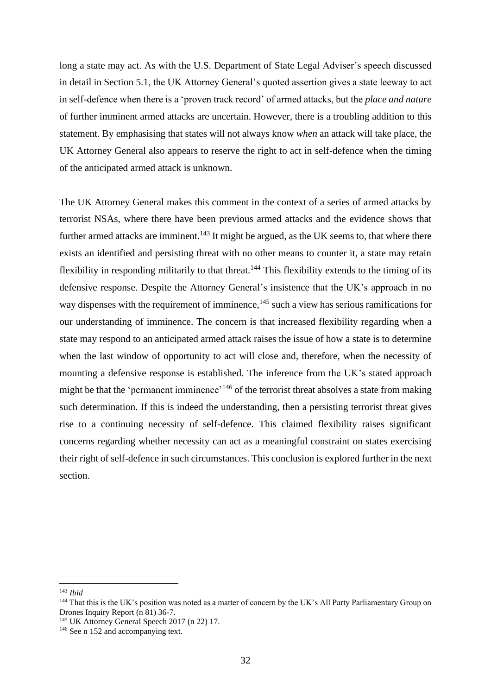long a state may act. As with the U.S. Department of State Legal Adviser's speech discussed in detail in Section 5.1, the UK Attorney General's quoted assertion gives a state leeway to act in self-defence when there is a 'proven track record' of armed attacks, but the *place and nature* of further imminent armed attacks are uncertain. However, there is a troubling addition to this statement. By emphasising that states will not always know *when* an attack will take place, the UK Attorney General also appears to reserve the right to act in self-defence when the timing of the anticipated armed attack is unknown.

The UK Attorney General makes this comment in the context of a series of armed attacks by terrorist NSAs, where there have been previous armed attacks and the evidence shows that further armed attacks are imminent.<sup>143</sup> It might be argued, as the UK seems to, that where there exists an identified and persisting threat with no other means to counter it, a state may retain flexibility in responding militarily to that threat.<sup>144</sup> This flexibility extends to the timing of its defensive response. Despite the Attorney General's insistence that the UK's approach in no way dispenses with the requirement of imminence, <sup>145</sup> such a view has serious ramifications for our understanding of imminence. The concern is that increased flexibility regarding when a state may respond to an anticipated armed attack raises the issue of how a state is to determine when the last window of opportunity to act will close and, therefore, when the necessity of mounting a defensive response is established. The inference from the UK's stated approach might be that the 'permanent imminence'<sup>146</sup> of the terrorist threat absolves a state from making such determination. If this is indeed the understanding, then a persisting terrorist threat gives rise to a continuing necessity of self-defence. This claimed flexibility raises significant concerns regarding whether necessity can act as a meaningful constraint on states exercising their right of self-defence in such circumstances. This conclusion is explored further in the next section.

<sup>143</sup> *Ibid*

<sup>&</sup>lt;sup>144</sup> That this is the UK's position was noted as a matter of concern by the UK's All Party Parliamentary Group on Drones Inquiry Report (n 81) 36-7.

<sup>145</sup> UK Attorney General Speech 2017 (n 22) 17.

<sup>&</sup>lt;sup>146</sup> See n 152 and accompanying text.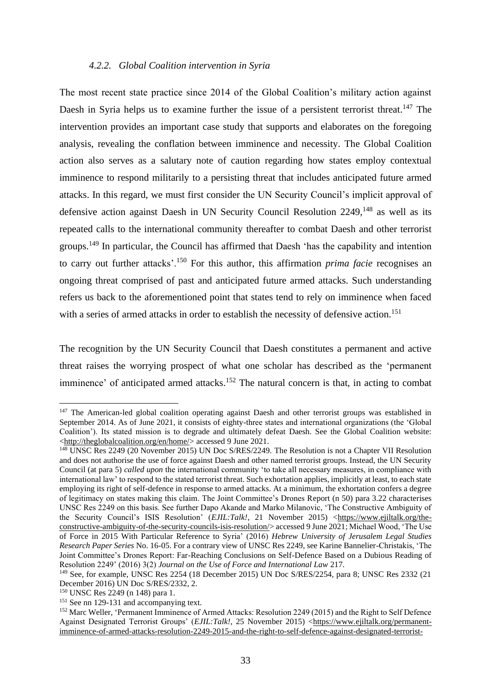#### *4.2.2. Global Coalition intervention in Syria*

The most recent state practice since 2014 of the Global Coalition's military action against Daesh in Syria helps us to examine further the issue of a persistent terrorist threat.<sup>147</sup> The intervention provides an important case study that supports and elaborates on the foregoing analysis, revealing the conflation between imminence and necessity. The Global Coalition action also serves as a salutary note of caution regarding how states employ contextual imminence to respond militarily to a persisting threat that includes anticipated future armed attacks. In this regard, we must first consider the UN Security Council's implicit approval of defensive action against Daesh in UN Security Council Resolution 2249,<sup>148</sup> as well as its repeated calls to the international community thereafter to combat Daesh and other terrorist groups.<sup>149</sup> In particular, the Council has affirmed that Daesh 'has the capability and intention to carry out further attacks'.<sup>150</sup> For this author, this affirmation *prima facie* recognises an ongoing threat comprised of past and anticipated future armed attacks. Such understanding refers us back to the aforementioned point that states tend to rely on imminence when faced with a series of armed attacks in order to establish the necessity of defensive action. 151

The recognition by the UN Security Council that Daesh constitutes a permanent and active threat raises the worrying prospect of what one scholar has described as the 'permanent imminence' of anticipated armed attacks.<sup>152</sup> The natural concern is that, in acting to combat

<sup>&</sup>lt;sup>147</sup> The American-led global coalition operating against Daesh and other terrorist groups was established in September 2014. As of June 2021, it consists of eighty-three states and international organizations (the 'Global Coalition'). Its stated mission is to degrade and ultimately defeat Daesh. See the Global Coalition website: [<http://theglobalcoalition.org/en/home/>](http://theglobalcoalition.org/en/home/) accessed 9 June 2021.

<sup>148</sup> UNSC Res 2249 (20 November 2015) UN Doc S/RES/2249. The Resolution is not a Chapter VII Resolution and does not authorise the use of force against Daesh and other named terrorist groups. Instead, the UN Security Council (at para 5) *called upon* the international community 'to take all necessary measures, in compliance with international law' to respond to the stated terrorist threat. Such exhortation applies, implicitly at least, to each state employing its right of self-defence in response to armed attacks. At a minimum, the exhortation confers a degree of legitimacy on states making this claim. The Joint Committee's Drones Report (n 50) para 3.22 characterises UNSC Res 2249 on this basis. See further Dapo Akande and Marko Milanovic, 'The Constructive Ambiguity of the Security Council's ISIS Resolution' (*EJIL:Talk!*, 21 November 2015) [<https://www.ejiltalk.org/the](https://www.ejiltalk.org/the-constructive-ambiguity-of-the-security-councils-isis-resolution/)[constructive-ambiguity-of-the-security-councils-isis-resolution/>](https://www.ejiltalk.org/the-constructive-ambiguity-of-the-security-councils-isis-resolution/) accessed 9 June 2021; Michael Wood, 'The Use of Force in 2015 With Particular Reference to Syria' (2016) *Hebrew University of Jerusalem Legal Studies Research Paper Series* No. 16-05. For a contrary view of UNSC Res 2249, see Karine Bannelier-Christakis, 'The Joint Committee's Drones Report: Far-Reaching Conclusions on Self-Defence Based on a Dubious Reading of Resolution 2249' (2016) 3(2) *Journal on the Use of Force and International Law* 217.

<sup>&</sup>lt;sup>149</sup> See, for example, UNSC Res 2254 (18 December 2015) UN Doc S/RES/2254, para 8; UNSC Res 2332 (21 December 2016) UN Doc S/RES/2332, 2.

<sup>150</sup> UNSC Res 2249 (n 148) para 1.

<sup>&</sup>lt;sup>151</sup> See nn 129-131 and accompanying text.

<sup>152</sup> Marc Weller, 'Permanent Imminence of Armed Attacks: Resolution 2249 (2015) and the Right to Self Defence Against Designated Terrorist Groups' (*EJIL:Talk!*, 25 November 2015) [<https://www.ejiltalk.org/permanent](https://www.ejiltalk.org/permanent-imminence-of-armed-attacks-resolution-2249-2015-and-the-right-to-self-defence-against-designated-terrorist-groups/)[imminence-of-armed-attacks-resolution-2249-2015-and-the-right-to-self-defence-against-designated-terrorist-](https://www.ejiltalk.org/permanent-imminence-of-armed-attacks-resolution-2249-2015-and-the-right-to-self-defence-against-designated-terrorist-groups/)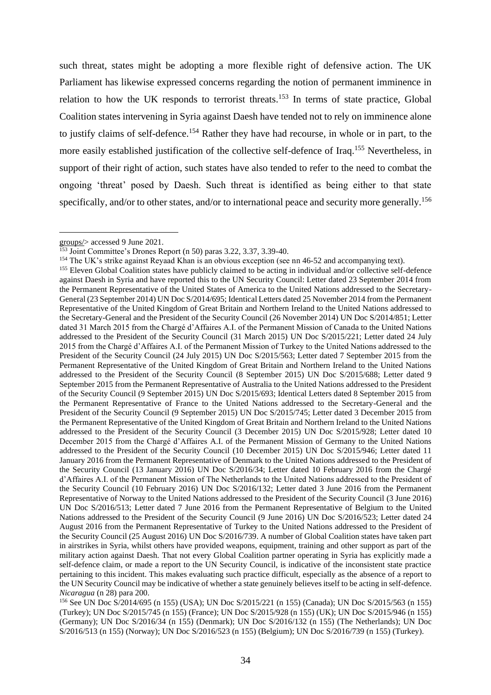such threat, states might be adopting a more flexible right of defensive action. The UK Parliament has likewise expressed concerns regarding the notion of permanent imminence in relation to how the UK responds to terrorist threats.<sup>153</sup> In terms of state practice, Global Coalition states intervening in Syria against Daesh have tended not to rely on imminence alone to justify claims of self-defence.<sup>154</sup> Rather they have had recourse, in whole or in part, to the more easily established justification of the collective self-defence of Iraq.<sup>155</sup> Nevertheless, in support of their right of action, such states have also tended to refer to the need to combat the ongoing 'threat' posed by Daesh. Such threat is identified as being either to that state specifically, and/or to other states, and/or to international peace and security more generally.<sup>156</sup>

[groups/>](https://www.ejiltalk.org/permanent-imminence-of-armed-attacks-resolution-2249-2015-and-the-right-to-self-defence-against-designated-terrorist-groups/) accessed 9 June 2021.

<sup>&</sup>lt;sup>153</sup> Joint Committee's Drones Report (n 50) paras 3.22, 3.37, 3.39-40.

<sup>&</sup>lt;sup>154</sup> The UK's strike against Reyaad Khan is an obvious exception (see nn 46-52 and accompanying text).

<sup>&</sup>lt;sup>155</sup> Eleven Global Coalition states have publicly claimed to be acting in individual and/or collective self-defence against Daesh in Syria and have reported this to the UN Security Council: Letter dated 23 September 2014 from the Permanent Representative of the United States of America to the United Nations addressed to the Secretary-General (23 September 2014) UN Doc S/2014/695; Identical Letters dated 25 November 2014 from the Permanent Representative of the United Kingdom of Great Britain and Northern Ireland to the United Nations addressed to the Secretary-General and the President of the Security Council (26 November 2014) UN Doc S/2014/851; Letter dated 31 March 2015 from the Chargé d'Affaires A.I. of the Permanent Mission of Canada to the United Nations addressed to the President of the Security Council (31 March 2015) UN Doc S/2015/221; Letter dated 24 July 2015 from the Chargé d'Affaires A.I. of the Permanent Mission of Turkey to the United Nations addressed to the President of the Security Council (24 July 2015) UN Doc S/2015/563; Letter dated 7 September 2015 from the Permanent Representative of the United Kingdom of Great Britain and Northern Ireland to the United Nations addressed to the President of the Security Council (8 September 2015) UN Doc S/2015/688; Letter dated 9 September 2015 from the Permanent Representative of Australia to the United Nations addressed to the President of the Security Council (9 September 2015) UN Doc S/2015/693; Identical Letters dated 8 September 2015 from the Permanent Representative of France to the United Nations addressed to the Secretary-General and the President of the Security Council (9 September 2015) UN Doc S/2015/745; Letter dated 3 December 2015 from the Permanent Representative of the United Kingdom of Great Britain and Northern Ireland to the United Nations addressed to the President of the Security Council (3 December 2015) UN Doc S/2015/928; Letter dated 10 December 2015 from the Chargé d'Affaires A.I. of the Permanent Mission of Germany to the United Nations addressed to the President of the Security Council (10 December 2015) UN Doc S/2015/946; Letter dated 11 January 2016 from the Permanent Representative of Denmark to the United Nations addressed to the President of the Security Council (13 January 2016) UN Doc S/2016/34; Letter dated 10 February 2016 from the Chargé d'Affaires A.I. of the Permanent Mission of The Netherlands to the United Nations addressed to the President of the Security Council (10 February 2016) UN Doc S/2016/132; Letter dated 3 June 2016 from the Permanent Representative of Norway to the United Nations addressed to the President of the Security Council (3 June 2016) UN Doc S/2016/513; Letter dated 7 June 2016 from the Permanent Representative of Belgium to the United Nations addressed to the President of the Security Council (9 June 2016) UN Doc S/2016/523; Letter dated 24 August 2016 from the Permanent Representative of Turkey to the United Nations addressed to the President of the Security Council (25 August 2016) UN Doc S/2016/739. A number of Global Coalition states have taken part in airstrikes in Syria, whilst others have provided weapons, equipment, training and other support as part of the military action against Daesh. That not every Global Coalition partner operating in Syria has explicitly made a self-defence claim, or made a report to the UN Security Council, is indicative of the inconsistent state practice pertaining to this incident. This makes evaluating such practice difficult, especially as the absence of a report to the UN Security Council may be indicative of whether a state genuinely believes itself to be acting in self-defence. *Nicaragua* (n 28) para 200.

<sup>156</sup> See UN Doc S/2014/695 (n 155) (USA); UN Doc S/2015/221 (n 155) (Canada); UN Doc S/2015/563 (n 155) (Turkey); UN Doc S/2015/745 (n 155) (France); UN Doc S/2015/928 (n 155) (UK); UN Doc S/2015/946 (n 155) (Germany); UN Doc S/2016/34 (n 155) (Denmark); UN Doc S/2016/132 (n 155) (The Netherlands); UN Doc S/2016/513 (n 155) (Norway); UN Doc S/2016/523 (n 155) (Belgium); UN Doc S/2016/739 (n 155) (Turkey).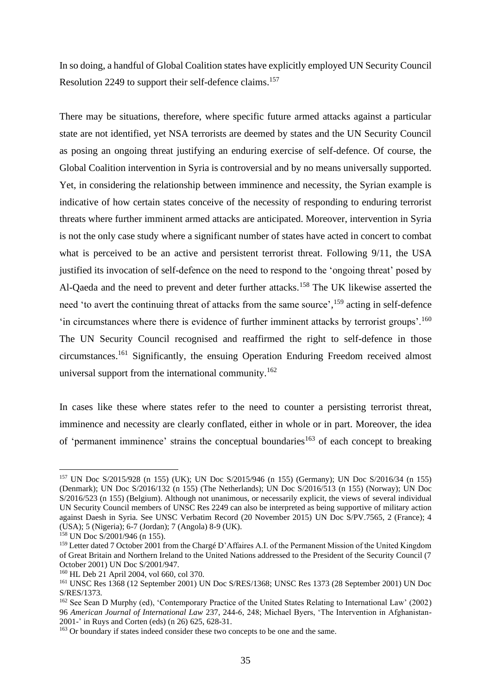In so doing, a handful of Global Coalition states have explicitly employed UN Security Council Resolution 2249 to support their self-defence claims.<sup>157</sup>

There may be situations, therefore, where specific future armed attacks against a particular state are not identified, yet NSA terrorists are deemed by states and the UN Security Council as posing an ongoing threat justifying an enduring exercise of self-defence. Of course, the Global Coalition intervention in Syria is controversial and by no means universally supported. Yet, in considering the relationship between imminence and necessity, the Syrian example is indicative of how certain states conceive of the necessity of responding to enduring terrorist threats where further imminent armed attacks are anticipated. Moreover, intervention in Syria is not the only case study where a significant number of states have acted in concert to combat what is perceived to be an active and persistent terrorist threat. Following 9/11, the USA justified its invocation of self-defence on the need to respond to the 'ongoing threat' posed by Al-Qaeda and the need to prevent and deter further attacks.<sup>158</sup> The UK likewise asserted the need 'to avert the continuing threat of attacks from the same source',<sup>159</sup> acting in self-defence 'in circumstances where there is evidence of further imminent attacks by terrorist groups'.<sup>160</sup> The UN Security Council recognised and reaffirmed the right to self-defence in those circumstances. <sup>161</sup> Significantly, the ensuing Operation Enduring Freedom received almost universal support from the international community.<sup>162</sup>

In cases like these where states refer to the need to counter a persisting terrorist threat, imminence and necessity are clearly conflated, either in whole or in part. Moreover, the idea of 'permanent imminence' strains the conceptual boundaries<sup>163</sup> of each concept to breaking

<sup>157</sup> UN Doc S/2015/928 (n 155) (UK); UN Doc S/2015/946 (n 155) (Germany); UN Doc S/2016/34 (n 155) (Denmark); UN Doc S/2016/132 (n 155) (The Netherlands); UN Doc S/2016/513 (n 155) (Norway); UN Doc S/2016/523 (n 155) (Belgium). Although not unanimous, or necessarily explicit, the views of several individual UN Security Council members of UNSC Res 2249 can also be interpreted as being supportive of military action against Daesh in Syria. See UNSC Verbatim Record (20 November 2015) UN Doc S/PV.7565, 2 (France); 4 (USA); 5 (Nigeria); 6-7 (Jordan); 7 (Angola) 8-9 (UK).

<sup>158</sup> UN Doc S/2001/946 (n 155).

<sup>159</sup> Letter dated 7 October 2001 from the Chargé D'Affaires A.I. of the Permanent Mission of the United Kingdom of Great Britain and Northern Ireland to the United Nations addressed to the President of the Security Council (7 October 2001) UN Doc S/2001/947.

<sup>160</sup> HL Deb 21 April 2004, vol 660, col 370.

<sup>161</sup> UNSC Res 1368 (12 September 2001) UN Doc S/RES/1368; UNSC Res 1373 (28 September 2001) UN Doc S/RES/1373.

<sup>162</sup> See Sean D Murphy (ed), 'Contemporary Practice of the United States Relating to International Law' (2002) 96 *American Journal of International Law* 237, 244-6, 248; Michael Byers, 'The Intervention in Afghanistan-2001-' in Ruys and Corten (eds) (n 26) 625, 628-31.

<sup>&</sup>lt;sup>163</sup> Or boundary if states indeed consider these two concepts to be one and the same.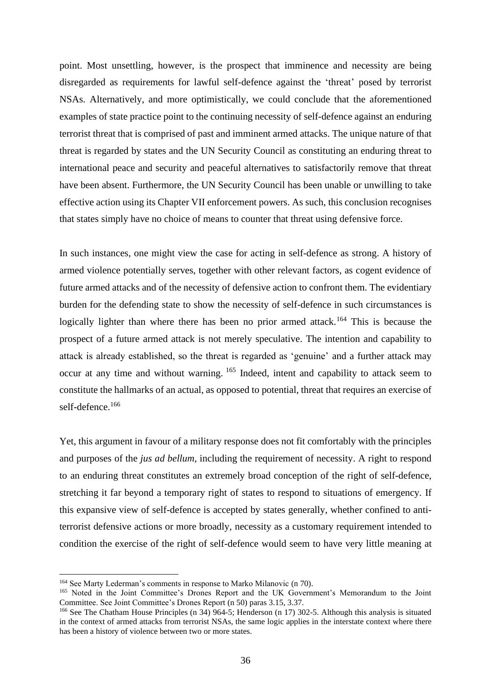point. Most unsettling, however, is the prospect that imminence and necessity are being disregarded as requirements for lawful self-defence against the 'threat' posed by terrorist NSAs. Alternatively, and more optimistically, we could conclude that the aforementioned examples of state practice point to the continuing necessity of self-defence against an enduring terrorist threat that is comprised of past and imminent armed attacks. The unique nature of that threat is regarded by states and the UN Security Council as constituting an enduring threat to international peace and security and peaceful alternatives to satisfactorily remove that threat have been absent. Furthermore, the UN Security Council has been unable or unwilling to take effective action using its Chapter VII enforcement powers. As such, this conclusion recognises that states simply have no choice of means to counter that threat using defensive force.

In such instances, one might view the case for acting in self-defence as strong. A history of armed violence potentially serves, together with other relevant factors, as cogent evidence of future armed attacks and of the necessity of defensive action to confront them. The evidentiary burden for the defending state to show the necessity of self-defence in such circumstances is logically lighter than where there has been no prior armed attack.<sup>164</sup> This is because the prospect of a future armed attack is not merely speculative. The intention and capability to attack is already established, so the threat is regarded as 'genuine' and a further attack may occur at any time and without warning. <sup>165</sup> Indeed, intent and capability to attack seem to constitute the hallmarks of an actual, as opposed to potential, threat that requires an exercise of self-defence.<sup>166</sup>

Yet, this argument in favour of a military response does not fit comfortably with the principles and purposes of the *jus ad bellum*, including the requirement of necessity. A right to respond to an enduring threat constitutes an extremely broad conception of the right of self-defence, stretching it far beyond a temporary right of states to respond to situations of emergency. If this expansive view of self-defence is accepted by states generally, whether confined to antiterrorist defensive actions or more broadly, necessity as a customary requirement intended to condition the exercise of the right of self-defence would seem to have very little meaning at

<sup>164</sup> See Marty Lederman's comments in response to Marko Milanovic (n 70).

<sup>&</sup>lt;sup>165</sup> Noted in the Joint Committee's Drones Report and the UK Government's Memorandum to the Joint Committee. See Joint Committee's Drones Report (n 50) paras 3.15, 3.37.

<sup>&</sup>lt;sup>166</sup> See The Chatham House Principles (n 34) 964-5; Henderson (n 17) 302-5. Although this analysis is situated in the context of armed attacks from terrorist NSAs, the same logic applies in the interstate context where there has been a history of violence between two or more states.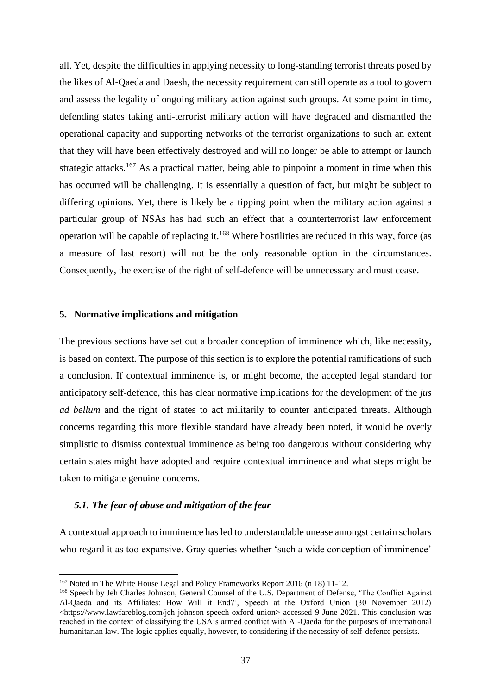all. Yet, despite the difficulties in applying necessity to long-standing terrorist threats posed by the likes of Al-Qaeda and Daesh, the necessity requirement can still operate as a tool to govern and assess the legality of ongoing military action against such groups. At some point in time, defending states taking anti-terrorist military action will have degraded and dismantled the operational capacity and supporting networks of the terrorist organizations to such an extent that they will have been effectively destroyed and will no longer be able to attempt or launch strategic attacks.<sup>167</sup> As a practical matter, being able to pinpoint a moment in time when this has occurred will be challenging. It is essentially a question of fact, but might be subject to differing opinions. Yet, there is likely be a tipping point when the military action against a particular group of NSAs has had such an effect that a counterterrorist law enforcement operation will be capable of replacing it.<sup>168</sup> Where hostilities are reduced in this way, force (as a measure of last resort) will not be the only reasonable option in the circumstances. Consequently, the exercise of the right of self-defence will be unnecessary and must cease.

## **5. Normative implications and mitigation**

The previous sections have set out a broader conception of imminence which, like necessity, is based on context. The purpose of this section is to explore the potential ramifications of such a conclusion. If contextual imminence is, or might become, the accepted legal standard for anticipatory self-defence, this has clear normative implications for the development of the *jus ad bellum* and the right of states to act militarily to counter anticipated threats. Although concerns regarding this more flexible standard have already been noted, it would be overly simplistic to dismiss contextual imminence as being too dangerous without considering why certain states might have adopted and require contextual imminence and what steps might be taken to mitigate genuine concerns.

#### *5.1. The fear of abuse and mitigation of the fear*

A contextual approach to imminence has led to understandable unease amongst certain scholars who regard it as too expansive. Gray queries whether 'such a wide conception of imminence'

<sup>167</sup> Noted in The White House Legal and Policy Frameworks Report 2016 (n 18) 11-12.

<sup>&</sup>lt;sup>168</sup> Speech by Jeh Charles Johnson, General Counsel of the U.S. Department of Defense, 'The Conflict Against Al-Qaeda and its Affiliates: How Will it End?', Speech at the Oxford Union (30 November 2012) [<https://www.lawfareblog.com/jeh-johnson-speech-oxford-union>](https://www.lawfareblog.com/jeh-johnson-speech-oxford-union) accessed 9 June 2021. This conclusion was reached in the context of classifying the USA's armed conflict with Al-Qaeda for the purposes of international humanitarian law. The logic applies equally, however, to considering if the necessity of self-defence persists.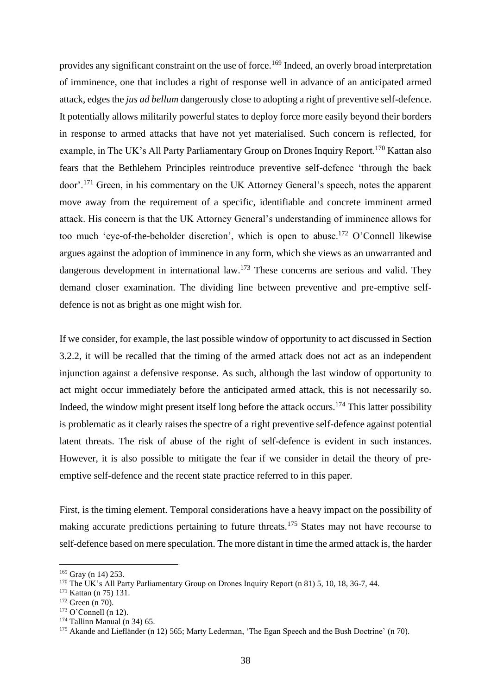provides any significant constraint on the use of force.<sup>169</sup> Indeed, an overly broad interpretation of imminence, one that includes a right of response well in advance of an anticipated armed attack, edges the *jus ad bellum* dangerously close to adopting a right of preventive self-defence. It potentially allows militarily powerful states to deploy force more easily beyond their borders in response to armed attacks that have not yet materialised. Such concern is reflected, for example, in The UK's All Party Parliamentary Group on Drones Inquiry Report.<sup>170</sup> Kattan also fears that the Bethlehem Principles reintroduce preventive self-defence 'through the back door'.<sup>171</sup> Green, in his commentary on the UK Attorney General's speech, notes the apparent move away from the requirement of a specific, identifiable and concrete imminent armed attack. His concern is that the UK Attorney General's understanding of imminence allows for too much 'eye-of-the-beholder discretion', which is open to abuse.<sup>172</sup> O'Connell likewise argues against the adoption of imminence in any form, which she views as an unwarranted and dangerous development in international law.<sup>173</sup> These concerns are serious and valid. They demand closer examination. The dividing line between preventive and pre-emptive selfdefence is not as bright as one might wish for.

If we consider, for example, the last possible window of opportunity to act discussed in Section 3.2.2, it will be recalled that the timing of the armed attack does not act as an independent injunction against a defensive response. As such, although the last window of opportunity to act might occur immediately before the anticipated armed attack, this is not necessarily so. Indeed, the window might present itself long before the attack occurs.<sup>174</sup> This latter possibility is problematic as it clearly raises the spectre of a right preventive self-defence against potential latent threats. The risk of abuse of the right of self-defence is evident in such instances. However, it is also possible to mitigate the fear if we consider in detail the theory of preemptive self-defence and the recent state practice referred to in this paper.

First, is the timing element. Temporal considerations have a heavy impact on the possibility of making accurate predictions pertaining to future threats.<sup>175</sup> States may not have recourse to self-defence based on mere speculation. The more distant in time the armed attack is, the harder

<sup>169</sup> Gray (n 14) 253.

<sup>170</sup> The UK's All Party Parliamentary Group on Drones Inquiry Report (n 81) 5, 10, 18, 36-7, 44.

<sup>171</sup> Kattan (n 75) 131.

<sup>&</sup>lt;sup>172</sup> Green (n 70).

 $173$  O'Connell (n 12).

 $174$  Tallinn Manual (n 34) 65.

<sup>&</sup>lt;sup>175</sup> Akande and Liefländer (n 12) 565; Marty Lederman, 'The Egan Speech and the Bush Doctrine' (n 70).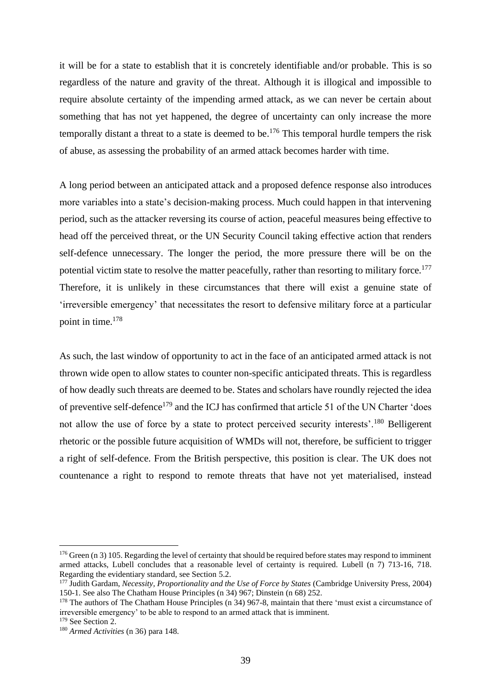it will be for a state to establish that it is concretely identifiable and/or probable. This is so regardless of the nature and gravity of the threat. Although it is illogical and impossible to require absolute certainty of the impending armed attack, as we can never be certain about something that has not yet happened, the degree of uncertainty can only increase the more temporally distant a threat to a state is deemed to be. <sup>176</sup> This temporal hurdle tempers the risk of abuse, as assessing the probability of an armed attack becomes harder with time.

A long period between an anticipated attack and a proposed defence response also introduces more variables into a state's decision-making process. Much could happen in that intervening period, such as the attacker reversing its course of action, peaceful measures being effective to head off the perceived threat, or the UN Security Council taking effective action that renders self-defence unnecessary. The longer the period, the more pressure there will be on the potential victim state to resolve the matter peacefully, rather than resorting to military force.<sup>177</sup> Therefore, it is unlikely in these circumstances that there will exist a genuine state of 'irreversible emergency' that necessitates the resort to defensive military force at a particular point in time.<sup>178</sup>

As such, the last window of opportunity to act in the face of an anticipated armed attack is not thrown wide open to allow states to counter non-specific anticipated threats. This is regardless of how deadly such threats are deemed to be. States and scholars have roundly rejected the idea of preventive self-defence<sup>179</sup> and the ICJ has confirmed that article 51 of the UN Charter 'does not allow the use of force by a state to protect perceived security interests'.<sup>180</sup> Belligerent rhetoric or the possible future acquisition of WMDs will not, therefore, be sufficient to trigger a right of self-defence. From the British perspective, this position is clear. The UK does not countenance a right to respond to remote threats that have not yet materialised, instead

<sup>&</sup>lt;sup>176</sup> Green (n 3) 105. Regarding the level of certainty that should be required before states may respond to imminent armed attacks, Lubell concludes that a reasonable level of certainty is required. Lubell (n 7) 713-16, 718. Regarding the evidentiary standard, see Section [5.2.](#page--1-2)

<sup>177</sup> Judith Gardam, *Necessity, Proportionality and the Use of Force by States* (Cambridge University Press, 2004) 150-1. See also The Chatham House Principles (n 34) 967; Dinstein (n 68) 252.

<sup>&</sup>lt;sup>178</sup> The authors of The Chatham House Principles (n 34) 967-8, maintain that there 'must exist a circumstance of irreversible emergency' to be able to respond to an armed attack that is imminent.

<sup>&</sup>lt;sup>179</sup> See Section [2.](#page--1-1)

<sup>180</sup> *Armed Activities* (n 36) para 148.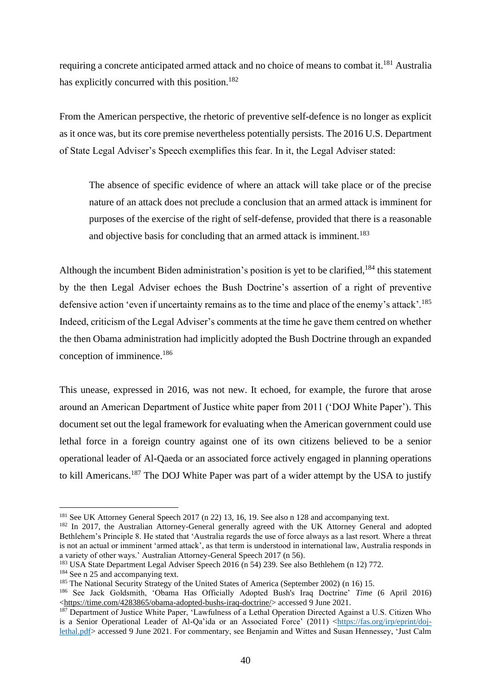requiring a concrete anticipated armed attack and no choice of means to combat it.<sup>181</sup> Australia has explicitly concurred with this position.<sup>182</sup>

From the American perspective, the rhetoric of preventive self-defence is no longer as explicit as it once was, but its core premise nevertheless potentially persists. The 2016 U.S. Department of State Legal Adviser's Speech exemplifies this fear. In it, the Legal Adviser stated:

The absence of specific evidence of where an attack will take place or of the precise nature of an attack does not preclude a conclusion that an armed attack is imminent for purposes of the exercise of the right of self-defense, provided that there is a reasonable and objective basis for concluding that an armed attack is imminent.<sup>183</sup>

Although the incumbent Biden administration's position is yet to be clarified, <sup>184</sup> this statement by the then Legal Adviser echoes the Bush Doctrine's assertion of a right of preventive defensive action 'even if uncertainty remains as to the time and place of the enemy's attack'.<sup>185</sup> Indeed, criticism of the Legal Adviser's comments at the time he gave them centred on whether the then Obama administration had implicitly adopted the Bush Doctrine through an expanded conception of imminence.<sup>186</sup>

This unease, expressed in 2016, was not new. It echoed, for example, the furore that arose around an American Department of Justice white paper from 2011 ('DOJ White Paper'). This document set out the legal framework for evaluating when the American government could use lethal force in a foreign country against one of its own citizens believed to be a senior operational leader of Al-Qaeda or an associated force actively engaged in planning operations to kill Americans.<sup>187</sup> The DOJ White Paper was part of a wider attempt by the USA to justify

<sup>&</sup>lt;sup>181</sup> See UK Attorney General Speech 2017 (n 22) 13, 16, 19. See also n 128 and accompanying text.

<sup>&</sup>lt;sup>182</sup> In 2017, the Australian Attorney-General generally agreed with the UK Attorney General and adopted Bethlehem's Principle 8. He stated that 'Australia regards the use of force always as a last resort. Where a threat is not an actual or imminent 'armed attack', as that term is understood in international law, Australia responds in a variety of other ways.' Australian Attorney-General Speech 2017 (n 56).

<sup>183</sup> USA State Department Legal Adviser Speech 2016 (n 54) 239. See also Bethlehem (n 12) 772.

<sup>&</sup>lt;sup>184</sup> See n 25 and accompanying text.

<sup>&</sup>lt;sup>185</sup> The National Security Strategy of the United States of America (September 2002) (n 16) 15.

<sup>186</sup> See Jack Goldsmith, 'Obama Has Officially Adopted Bush's Iraq Doctrine' *Time* (6 April 2016) [<https://time.com/4283865/obama-adopted-bushs-iraq-doctrine/>](https://time.com/4283865/obama-adopted-bushs-iraq-doctrine/) accessed 9 June 2021.

<sup>&</sup>lt;sup>187</sup> Department of Justice White Paper, 'Lawfulness of a Lethal Operation Directed Against a U.S. Citizen Who is a Senior Operational Leader of Al-Qa'ida or an Associated Force' (2011) [<https://fas.org/irp/eprint/doj](https://fas.org/irp/eprint/doj-lethal.pdf)[lethal.pdf>](https://fas.org/irp/eprint/doj-lethal.pdf) accessed 9 June 2021. For commentary, see Benjamin and Wittes and Susan Hennessey, 'Just Calm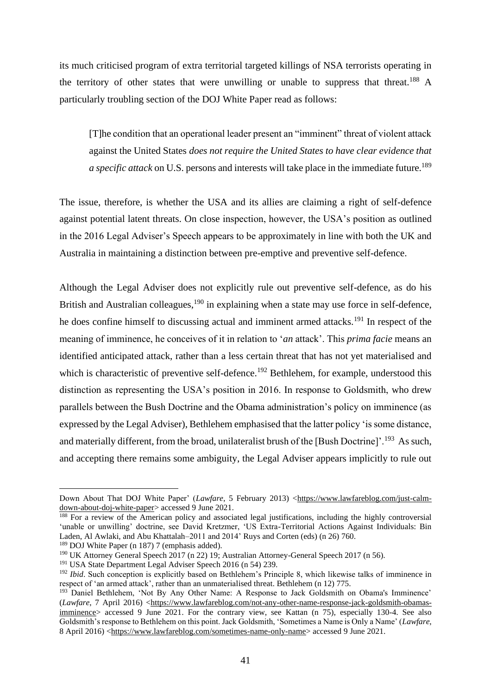its much criticised program of extra territorial targeted killings of NSA terrorists operating in the territory of other states that were unwilling or unable to suppress that threat.<sup>188</sup> A particularly troubling section of the DOJ White Paper read as follows:

[T]he condition that an operational leader present an "imminent" threat of violent attack against the United States *does not require the United States to have clear evidence that a specific attack* on U.S. persons and interests will take place in the immediate future.<sup>189</sup>

The issue, therefore, is whether the USA and its allies are claiming a right of self-defence against potential latent threats. On close inspection, however, the USA's position as outlined in the 2016 Legal Adviser's Speech appears to be approximately in line with both the UK and Australia in maintaining a distinction between pre-emptive and preventive self-defence.

Although the Legal Adviser does not explicitly rule out preventive self-defence, as do his British and Australian colleagues, <sup>190</sup> in explaining when a state may use force in self-defence, he does confine himself to discussing actual and imminent armed attacks.<sup>191</sup> In respect of the meaning of imminence, he conceives of it in relation to '*an* attack'. This *prima facie* means an identified anticipated attack, rather than a less certain threat that has not yet materialised and which is characteristic of preventive self-defence.<sup>192</sup> Bethlehem, for example, understood this distinction as representing the USA's position in 2016. In response to Goldsmith, who drew parallels between the Bush Doctrine and the Obama administration's policy on imminence (as expressed by the Legal Adviser), Bethlehem emphasised that the latter policy 'is some distance, and materially different, from the broad, unilateralist brush of the [Bush Doctrine]'.<sup>193</sup> As such, and accepting there remains some ambiguity, the Legal Adviser appears implicitly to rule out

Down About That DOJ White Paper' (*Lawfare*, 5 February 2013) [<https://www.lawfareblog.com/just-calm](https://www.lawfareblog.com/just-calm-down-about-doj-white-paper)[down-about-doj-white-paper>](https://www.lawfareblog.com/just-calm-down-about-doj-white-paper) accessed 9 June 2021.

<sup>&</sup>lt;sup>188</sup> For a review of the American policy and associated legal justifications, including the highly controversial 'unable or unwilling' doctrine, see David Kretzmer, 'US Extra-Territorial Actions Against Individuals: Bin Laden, Al Awlaki, and Abu Khattalah–2011 and 2014' Ruys and Corten (eds) (n 26) 760.

<sup>189</sup> DOJ White Paper (n 187) 7 (emphasis added).

<sup>190</sup> UK Attorney General Speech 2017 (n 22) 19; Australian Attorney-General Speech 2017 (n 56).

<sup>&</sup>lt;sup>191</sup> USA State Department Legal Adviser Speech 2016 (n 54) 239.

<sup>&</sup>lt;sup>192</sup> *Ibid*. Such conception is explicitly based on Bethlehem's Principle 8, which likewise talks of imminence in respect of 'an armed attack', rather than an unmaterialised threat. Bethlehem (n 12) 775.

<sup>&</sup>lt;sup>193</sup> Daniel Bethlehem, 'Not By Any Other Name: A Response to Jack Goldsmith on Obama's Imminence' (*Lawfare*, 7 April 2016) [<https://www.lawfareblog.com/not-any-other-name-response-jack-goldsmith-obamas](https://www.lawfareblog.com/not-any-other-name-response-jack-goldsmith-obamas-imminence)[imminence>](https://www.lawfareblog.com/not-any-other-name-response-jack-goldsmith-obamas-imminence) accessed 9 June 2021. For the contrary view, see Kattan (n 75), especially 130-4. See also Goldsmith's response to Bethlehem on this point. Jack Goldsmith, 'Sometimes a Name is Only a Name' (*Lawfare*, 8 April 2016) [<https://www.lawfareblog.com/sometimes-name-only-name>](https://www.lawfareblog.com/sometimes-name-only-name) accessed 9 June 2021.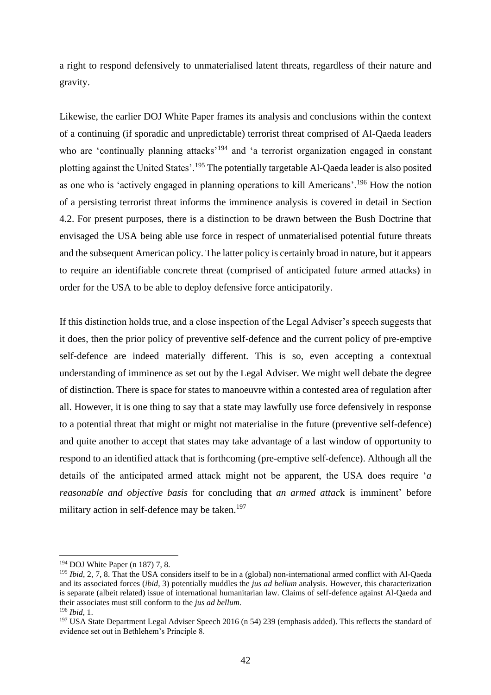a right to respond defensively to unmaterialised latent threats, regardless of their nature and gravity.

Likewise, the earlier DOJ White Paper frames its analysis and conclusions within the context of a continuing (if sporadic and unpredictable) terrorist threat comprised of Al-Qaeda leaders who are 'continually planning attacks'<sup>194</sup> and 'a terrorist organization engaged in constant plotting against the United States'.<sup>195</sup> The potentially targetable Al-Qaeda leader is also posited as one who is 'actively engaged in planning operations to kill Americans'.<sup>196</sup> How the notion of a persisting terrorist threat informs the imminence analysis is covered in detail in Section 4.2. For present purposes, there is a distinction to be drawn between the Bush Doctrine that envisaged the USA being able use force in respect of unmaterialised potential future threats and the subsequent American policy. The latter policy is certainly broad in nature, but it appears to require an identifiable concrete threat (comprised of anticipated future armed attacks) in order for the USA to be able to deploy defensive force anticipatorily.

If this distinction holds true, and a close inspection of the Legal Adviser's speech suggests that it does, then the prior policy of preventive self-defence and the current policy of pre-emptive self-defence are indeed materially different. This is so, even accepting a contextual understanding of imminence as set out by the Legal Adviser. We might well debate the degree of distinction. There is space for states to manoeuvre within a contested area of regulation after all. However, it is one thing to say that a state may lawfully use force defensively in response to a potential threat that might or might not materialise in the future (preventive self-defence) and quite another to accept that states may take advantage of a last window of opportunity to respond to an identified attack that is forthcoming (pre-emptive self-defence). Although all the details of the anticipated armed attack might not be apparent, the USA does require '*a reasonable and objective basis* for concluding that *an armed attac*k is imminent' before military action in self-defence may be taken.<sup>197</sup>

<sup>194</sup> DOJ White Paper (n 187) 7, 8.

<sup>&</sup>lt;sup>195</sup> *Ibid*, 2, 7, 8. That the USA considers itself to be in a (global) non-international armed conflict with Al-Qaeda and its associated forces (*ibid*, 3) potentially muddles the *jus ad bellum* analysis. However, this characterization is separate (albeit related) issue of international humanitarian law. Claims of self-defence against Al-Qaeda and their associates must still conform to the *jus ad bellum*.

<sup>196</sup> *Ibid*, 1.

<sup>&</sup>lt;sup>197</sup> USA State Department Legal Adviser Speech 2016 (n 54) 239 (emphasis added). This reflects the standard of evidence set out in Bethlehem's Principle 8.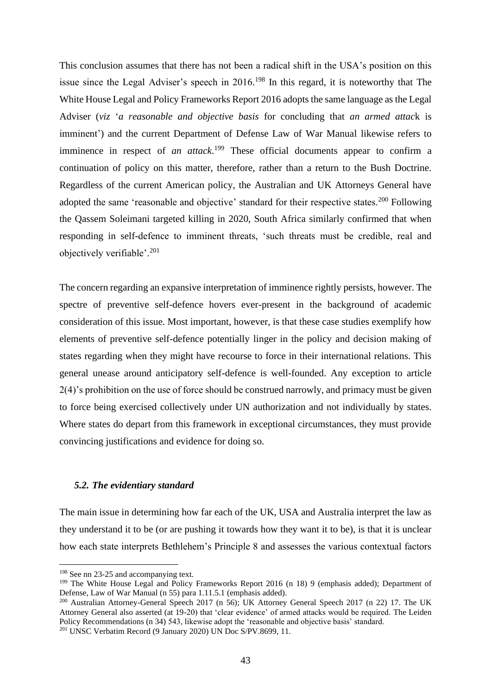This conclusion assumes that there has not been a radical shift in the USA's position on this issue since the Legal Adviser's speech in 2016.<sup>198</sup> In this regard, it is noteworthy that The White House Legal and Policy Frameworks Report 2016 adopts the same language as the Legal Adviser (*viz* '*a reasonable and objective basis* for concluding that *an armed attac*k is imminent') and the current Department of Defense Law of War Manual likewise refers to imminence in respect of *an attack*. <sup>199</sup> These official documents appear to confirm a continuation of policy on this matter, therefore, rather than a return to the Bush Doctrine. Regardless of the current American policy, the Australian and UK Attorneys General have adopted the same 'reasonable and objective' standard for their respective states.<sup>200</sup> Following the Qassem Soleimani targeted killing in 2020, South Africa similarly confirmed that when responding in self-defence to imminent threats, 'such threats must be credible, real and objectively verifiable'.<sup>201</sup>

The concern regarding an expansive interpretation of imminence rightly persists, however. The spectre of preventive self-defence hovers ever-present in the background of academic consideration of this issue. Most important, however, is that these case studies exemplify how elements of preventive self-defence potentially linger in the policy and decision making of states regarding when they might have recourse to force in their international relations. This general unease around anticipatory self-defence is well-founded. Any exception to article 2(4)'s prohibition on the use of force should be construed narrowly, and primacy must be given to force being exercised collectively under UN authorization and not individually by states. Where states do depart from this framework in exceptional circumstances, they must provide convincing justifications and evidence for doing so.

# *5.2. The evidentiary standard*

The main issue in determining how far each of the UK, USA and Australia interpret the law as they understand it to be (or are pushing it towards how they want it to be), is that it is unclear how each state interprets Bethlehem's Principle 8 and assesses the various contextual factors

<sup>198</sup> See nn 23-25 and accompanying text.

<sup>&</sup>lt;sup>199</sup> The White House Legal and Policy Frameworks Report 2016 (n 18) 9 (emphasis added); Department of Defense, Law of War Manual (n 55) para 1.11.5.1 (emphasis added).

<sup>200</sup> Australian Attorney-General Speech 2017 (n 56); UK Attorney General Speech 2017 (n 22) 17. The UK Attorney General also asserted (at 19-20) that 'clear evidence' of armed attacks would be required. The Leiden Policy Recommendations (n 34) 543, likewise adopt the 'reasonable and objective basis' standard.  $201$  UNSC Verbatim Record (9 January 2020) UN Doc S/PV.8699, 11.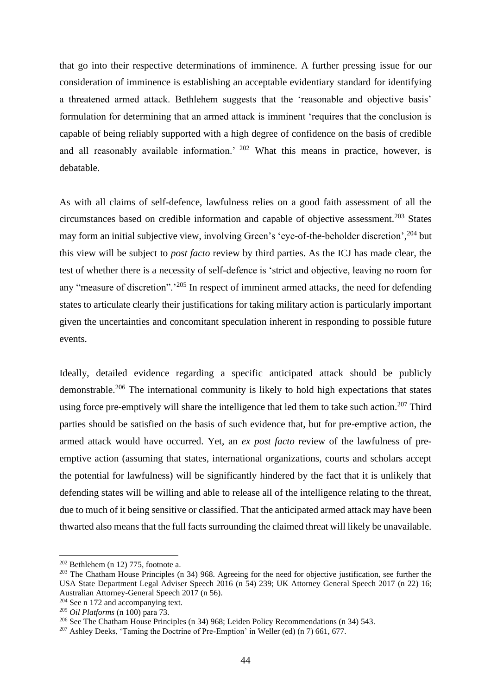that go into their respective determinations of imminence. A further pressing issue for our consideration of imminence is establishing an acceptable evidentiary standard for identifying a threatened armed attack. Bethlehem suggests that the 'reasonable and objective basis' formulation for determining that an armed attack is imminent 'requires that the conclusion is capable of being reliably supported with a high degree of confidence on the basis of credible and all reasonably available information.<sup>' 202</sup> What this means in practice, however, is debatable.

As with all claims of self-defence, lawfulness relies on a good faith assessment of all the circumstances based on credible information and capable of objective assessment.<sup>203</sup> States may form an initial subjective view, involving Green's 'eye-of-the-beholder discretion', <sup>204</sup> but this view will be subject to *post facto* review by third parties. As the ICJ has made clear, the test of whether there is a necessity of self-defence is 'strict and objective, leaving no room for any "measure of discretion".<sup>205</sup> In respect of imminent armed attacks, the need for defending states to articulate clearly their justifications for taking military action is particularly important given the uncertainties and concomitant speculation inherent in responding to possible future events.

Ideally, detailed evidence regarding a specific anticipated attack should be publicly demonstrable.<sup>206</sup> The international community is likely to hold high expectations that states using force pre-emptively will share the intelligence that led them to take such action.<sup>207</sup> Third parties should be satisfied on the basis of such evidence that, but for pre-emptive action, the armed attack would have occurred. Yet, an *ex post facto* review of the lawfulness of preemptive action (assuming that states, international organizations, courts and scholars accept the potential for lawfulness) will be significantly hindered by the fact that it is unlikely that defending states will be willing and able to release all of the intelligence relating to the threat, due to much of it being sensitive or classified. That the anticipated armed attack may have been thwarted also means that the full facts surrounding the claimed threat will likely be unavailable.

 $202$  Bethlehem (n 12) 775, footnote a.

<sup>&</sup>lt;sup>203</sup> The Chatham House Principles (n 34) 968. Agreeing for the need for objective justification, see further the USA State Department Legal Adviser Speech 2016 (n 54) 239; UK Attorney General Speech 2017 (n 22) 16; Australian Attorney-General Speech 2017 (n 56).

<sup>&</sup>lt;sup>204</sup> See n 172 and accompanying text.

<sup>205</sup> *Oil Platforms* (n 100) para 73.

<sup>206</sup> See The Chatham House Principles (n 34) 968; Leiden Policy Recommendations (n 34) 543.

<sup>207</sup> Ashley Deeks, 'Taming the Doctrine of Pre-Emption' in Weller (ed) (n 7) 661, 677.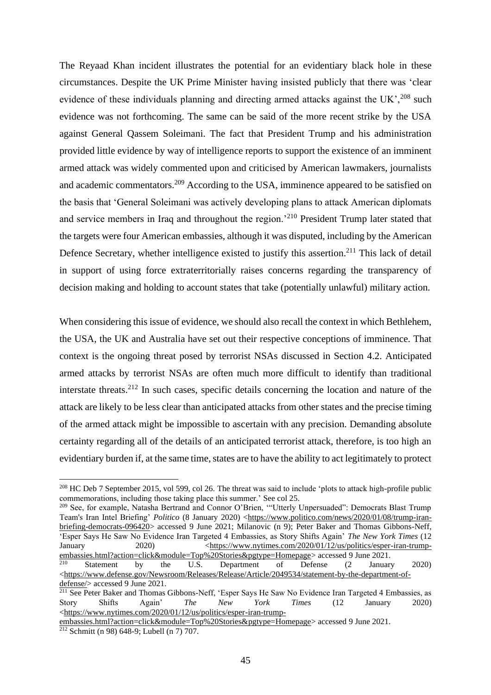The Reyaad Khan incident illustrates the potential for an evidentiary black hole in these circumstances. Despite the UK Prime Minister having insisted publicly that there was 'clear evidence of these individuals planning and directing armed attacks against the UK',  $208$  such evidence was not forthcoming. The same can be said of the more recent strike by the USA against General Qassem Soleimani. The fact that President Trump and his administration provided little evidence by way of intelligence reports to support the existence of an imminent armed attack was widely commented upon and criticised by American lawmakers, journalists and academic commentators.<sup>209</sup> According to the USA, imminence appeared to be satisfied on the basis that 'General Soleimani was actively developing plans to attack American diplomats and service members in Iraq and throughout the region.<sup>210</sup> President Trump later stated that the targets were four American embassies, although it was disputed, including by the American Defence Secretary, whether intelligence existed to justify this assertion.<sup>211</sup> This lack of detail in support of using force extraterritorially raises concerns regarding the transparency of decision making and holding to account states that take (potentially unlawful) military action.

When considering this issue of evidence, we should also recall the context in which Bethlehem, the USA, the UK and Australia have set out their respective conceptions of imminence. That context is the ongoing threat posed by terrorist NSAs discussed in Section 4.2. Anticipated armed attacks by terrorist NSAs are often much more difficult to identify than traditional interstate threats.<sup>212</sup> In such cases, specific details concerning the location and nature of the attack are likely to be less clear than anticipated attacks from other states and the precise timing of the armed attack might be impossible to ascertain with any precision. Demanding absolute certainty regarding all of the details of an anticipated terrorist attack, therefore, is too high an evidentiary burden if, at the same time, states are to have the ability to act legitimately to protect

<sup>&</sup>lt;sup>208</sup> HC Deb 7 September 2015, vol 599, col 26. The threat was said to include 'plots to attack high-profile public commemorations, including those taking place this summer.' See col 25.

<sup>&</sup>lt;sup>209</sup> See, for example, Natasha Bertrand and Connor O'Brien, "Utterly Unpersuaded": Democrats Blast Trump Team's Iran Intel Briefing' *Politico* (8 January 2020) [<https://www.politico.com/news/2020/01/08/trump-iran](https://www.politico.com/news/2020/01/08/trump-iran-briefing-democrats-096420)[briefing-democrats-096420>](https://www.politico.com/news/2020/01/08/trump-iran-briefing-democrats-096420) accessed 9 June 2021; Milanovic (n 9); Peter Baker and Thomas Gibbons-Neff, 'Esper Says He Saw No Evidence Iran Targeted 4 Embassies, as Story Shifts Again' *The New York Times* (12 January 2020)  $\langle \frac{https://www.nytimes.com/2020/01/12/us/politics/esper-iran-trump-1}{}$ [embassies.html?action=click&module=Top%20Stories&pgtype=Homepage>](https://www.nytimes.com/2020/01/12/us/politics/esper-iran-trump-embassies.html?action=click&module=Top%20Stories&pgtype=Homepage) accessed 9 June 2021.

 $2^{10}$  Statement by the U.S. Department of Defense  $(2)$  January 2020) [<https://www.defense.gov/Newsroom/Releases/Release/Article/2049534/statement-by-the-department-of](https://www.defense.gov/Newsroom/Releases/Release/Article/2049534/statement-by-the-department-of-defense/)[defense/>](https://www.defense.gov/Newsroom/Releases/Release/Article/2049534/statement-by-the-department-of-defense/) accessed 9 June 2021.

<sup>&</sup>lt;sup>211</sup> See Peter Baker and Thomas Gibbons-Neff, 'Esper Says He Saw No Evidence Iran Targeted 4 Embassies, as Story Shifts Again' *The New York Times* (12 January 2020) [<https://www.nytimes.com/2020/01/12/us/politics/esper-iran-trump-](https://www.nytimes.com/2020/01/12/us/politics/esper-iran-trump-embassies.html?action=click&module=Top%20Stories&pgtype=Homepage)

[embassies.html?action=click&module=Top%20Stories&pgtype=Homepage>](https://www.nytimes.com/2020/01/12/us/politics/esper-iran-trump-embassies.html?action=click&module=Top%20Stories&pgtype=Homepage) accessed 9 June 2021. <sup>212</sup> Schmitt (n 98) 648-9; Lubell (n 7) 707.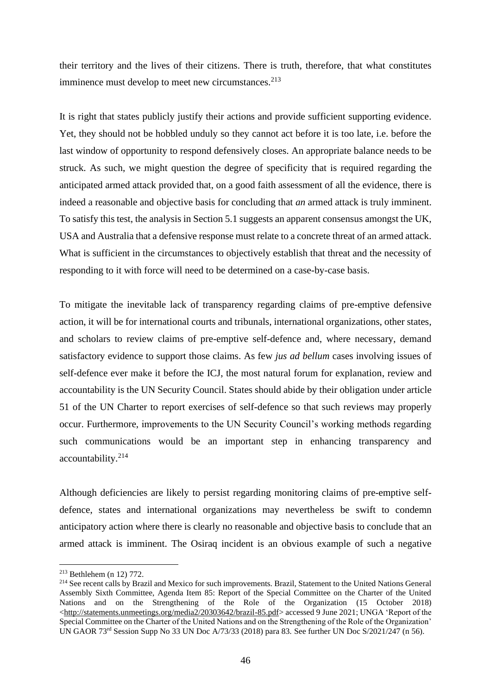their territory and the lives of their citizens. There is truth, therefore, that what constitutes imminence must develop to meet new circumstances.<sup>213</sup>

It is right that states publicly justify their actions and provide sufficient supporting evidence. Yet, they should not be hobbled unduly so they cannot act before it is too late, i.e. before the last window of opportunity to respond defensively closes. An appropriate balance needs to be struck. As such, we might question the degree of specificity that is required regarding the anticipated armed attack provided that, on a good faith assessment of all the evidence, there is indeed a reasonable and objective basis for concluding that *an* armed attack is truly imminent. To satisfy this test, the analysis in Section 5.1 suggests an apparent consensus amongst the UK, USA and Australia that a defensive response must relate to a concrete threat of an armed attack. What is sufficient in the circumstances to objectively establish that threat and the necessity of responding to it with force will need to be determined on a case-by-case basis.

To mitigate the inevitable lack of transparency regarding claims of pre-emptive defensive action, it will be for international courts and tribunals, international organizations, other states, and scholars to review claims of pre-emptive self-defence and, where necessary, demand satisfactory evidence to support those claims. As few *jus ad bellum* cases involving issues of self-defence ever make it before the ICJ, the most natural forum for explanation, review and accountability is the UN Security Council. States should abide by their obligation under article 51 of the UN Charter to report exercises of self-defence so that such reviews may properly occur. Furthermore, improvements to the UN Security Council's working methods regarding such communications would be an important step in enhancing transparency and accountability.<sup>214</sup>

Although deficiencies are likely to persist regarding monitoring claims of pre-emptive selfdefence, states and international organizations may nevertheless be swift to condemn anticipatory action where there is clearly no reasonable and objective basis to conclude that an armed attack is imminent. The Osiraq incident is an obvious example of such a negative

<sup>213</sup> Bethlehem (n 12) 772.

<sup>&</sup>lt;sup>214</sup> See recent calls by Brazil and Mexico for such improvements. Brazil, Statement to the United Nations General Assembly Sixth Committee, Agenda Item 85: Report of the Special Committee on the Charter of the United Nations and on the Strengthening of the Role of the Organization (15 October 2018) [<http://statements.unmeetings.org/media2/20303642/brazil-85.pdf>](http://statements.unmeetings.org/media2/20303642/brazil-85.pdf) accessed 9 June 2021; UNGA 'Report of the Special Committee on the Charter of the United Nations and on the Strengthening of the Role of the Organization' UN GAOR 73<sup>rd</sup> Session Supp No 33 UN Doc A/73/33 (2018) para 83. See further UN Doc S/2021/247 (n 56).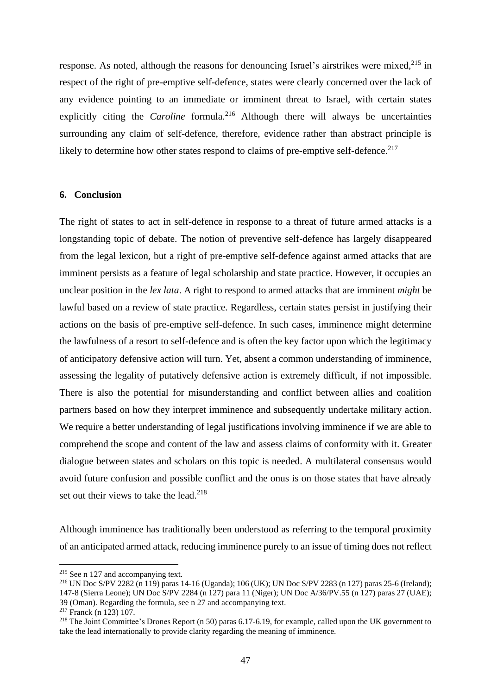response. As noted, although the reasons for denouncing Israel's airstrikes were mixed, $215$  in respect of the right of pre-emptive self-defence, states were clearly concerned over the lack of any evidence pointing to an immediate or imminent threat to Israel, with certain states explicitly citing the *Caroline* formula.<sup>216</sup> Although there will always be uncertainties surrounding any claim of self-defence, therefore, evidence rather than abstract principle is likely to determine how other states respond to claims of pre-emptive self-defence.<sup>217</sup>

# **6. Conclusion**

The right of states to act in self-defence in response to a threat of future armed attacks is a longstanding topic of debate. The notion of preventive self-defence has largely disappeared from the legal lexicon, but a right of pre-emptive self-defence against armed attacks that are imminent persists as a feature of legal scholarship and state practice. However, it occupies an unclear position in the *lex lata*. A right to respond to armed attacks that are imminent *might* be lawful based on a review of state practice. Regardless, certain states persist in justifying their actions on the basis of pre-emptive self-defence. In such cases, imminence might determine the lawfulness of a resort to self-defence and is often the key factor upon which the legitimacy of anticipatory defensive action will turn. Yet, absent a common understanding of imminence, assessing the legality of putatively defensive action is extremely difficult, if not impossible. There is also the potential for misunderstanding and conflict between allies and coalition partners based on how they interpret imminence and subsequently undertake military action. We require a better understanding of legal justifications involving imminence if we are able to comprehend the scope and content of the law and assess claims of conformity with it. Greater dialogue between states and scholars on this topic is needed. A multilateral consensus would avoid future confusion and possible conflict and the onus is on those states that have already set out their views to take the lead.<sup>218</sup>

Although imminence has traditionally been understood as referring to the temporal proximity of an anticipated armed attack, reducing imminence purely to an issue of timing does not reflect

<sup>215</sup> See n 127 and accompanying text.

<sup>216</sup> UN Doc S/PV 2282 (n 119) paras 14-16 (Uganda); 106 (UK); UN Doc S/PV 2283 (n 127) paras 25-6 (Ireland); 147-8 (Sierra Leone); UN Doc S/PV 2284 (n 127) para 11 (Niger); UN Doc A/36/PV.55 (n 127) paras 27 (UAE); 39 (Oman). Regarding the formula, see n 27 and accompanying text.

<sup>217</sup> Franck (n 123) 107.

<sup>&</sup>lt;sup>218</sup> The Joint Committee's Drones Report (n 50) paras 6.17-6.19, for example, called upon the UK government to take the lead internationally to provide clarity regarding the meaning of imminence.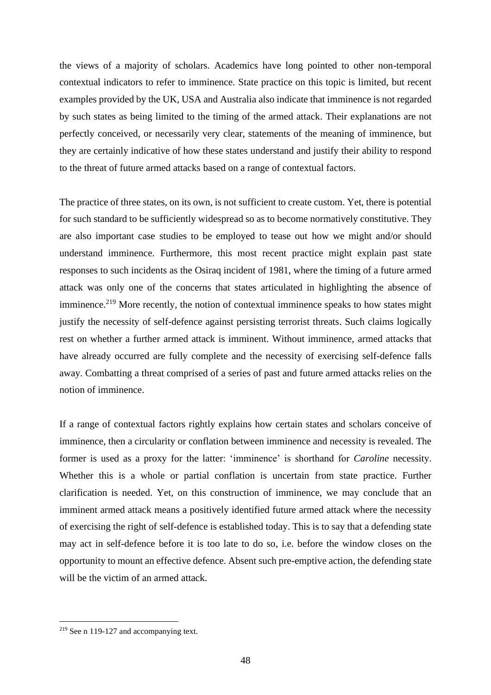the views of a majority of scholars. Academics have long pointed to other non-temporal contextual indicators to refer to imminence. State practice on this topic is limited, but recent examples provided by the UK, USA and Australia also indicate that imminence is not regarded by such states as being limited to the timing of the armed attack. Their explanations are not perfectly conceived, or necessarily very clear, statements of the meaning of imminence, but they are certainly indicative of how these states understand and justify their ability to respond to the threat of future armed attacks based on a range of contextual factors.

The practice of three states, on its own, is not sufficient to create custom. Yet, there is potential for such standard to be sufficiently widespread so as to become normatively constitutive. They are also important case studies to be employed to tease out how we might and/or should understand imminence. Furthermore, this most recent practice might explain past state responses to such incidents as the Osiraq incident of 1981, where the timing of a future armed attack was only one of the concerns that states articulated in highlighting the absence of imminence.<sup>219</sup> More recently, the notion of contextual imminence speaks to how states might justify the necessity of self-defence against persisting terrorist threats. Such claims logically rest on whether a further armed attack is imminent. Without imminence, armed attacks that have already occurred are fully complete and the necessity of exercising self-defence falls away. Combatting a threat comprised of a series of past and future armed attacks relies on the notion of imminence.

If a range of contextual factors rightly explains how certain states and scholars conceive of imminence, then a circularity or conflation between imminence and necessity is revealed. The former is used as a proxy for the latter: 'imminence' is shorthand for *Caroline* necessity. Whether this is a whole or partial conflation is uncertain from state practice. Further clarification is needed. Yet, on this construction of imminence, we may conclude that an imminent armed attack means a positively identified future armed attack where the necessity of exercising the right of self-defence is established today. This is to say that a defending state may act in self-defence before it is too late to do so, i.e. before the window closes on the opportunity to mount an effective defence. Absent such pre-emptive action, the defending state will be the victim of an armed attack.

<sup>219</sup> See n 119-127 and accompanying text.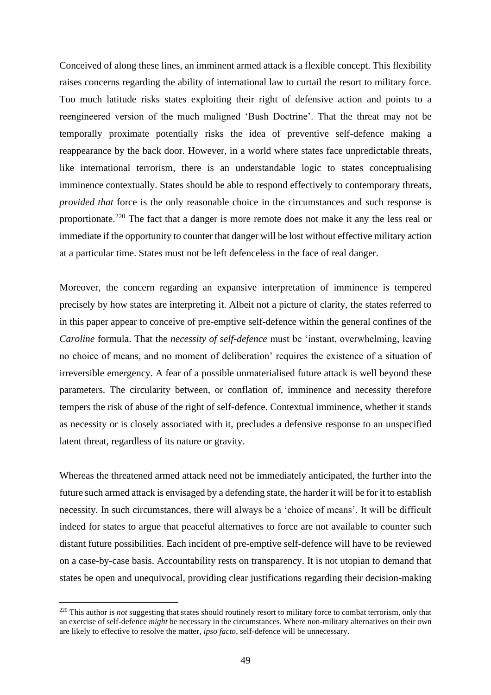Conceived of along these lines, an imminent armed attack is a flexible concept. This flexibility raises concerns regarding the ability of international law to curtail the resort to military force. Too much latitude risks states exploiting their right of defensive action and points to a reengineered version of the much maligned 'Bush Doctrine'. That the threat may not be temporally proximate potentially risks the idea of preventive self-defence making a reappearance by the back door. However, in a world where states face unpredictable threats, like international terrorism, there is an understandable logic to states conceptualising imminence contextually. States should be able to respond effectively to contemporary threats, *provided that* force is the only reasonable choice in the circumstances and such response is proportionate.<sup>220</sup> The fact that a danger is more remote does not make it any the less real or immediate if the opportunity to counter that danger will be lost without effective military action at a particular time. States must not be left defenceless in the face of real danger.

Moreover, the concern regarding an expansive interpretation of imminence is tempered precisely by how states are interpreting it. Albeit not a picture of clarity, the states referred to in this paper appear to conceive of pre-emptive self-defence within the general confines of the *Caroline* formula. That the *necessity of self-defence* must be 'instant, overwhelming, leaving no choice of means, and no moment of deliberation' requires the existence of a situation of irreversible emergency. A fear of a possible unmaterialised future attack is well beyond these parameters. The circularity between, or conflation of, imminence and necessity therefore tempers the risk of abuse of the right of self-defence. Contextual imminence, whether it stands as necessity or is closely associated with it, precludes a defensive response to an unspecified latent threat, regardless of its nature or gravity.

Whereas the threatened armed attack need not be immediately anticipated, the further into the future such armed attack is envisaged by a defending state, the harder it will be for it to establish necessity. In such circumstances, there will always be a 'choice of means'. It will be difficult indeed for states to argue that peaceful alternatives to force are not available to counter such distant future possibilities. Each incident of pre-emptive self-defence will have to be reviewed on a case-by-case basis. Accountability rests on transparency. It is not utopian to demand that states be open and unequivocal, providing clear justifications regarding their decision-making

<sup>&</sup>lt;sup>220</sup> This author is *not* suggesting that states should routinely resort to military force to combat terrorism, only that an exercise of self-defence *might* be necessary in the circumstances. Where non-military alternatives on their own are likely to effective to resolve the matter, *ipso facto*, self-defence will be unnecessary.